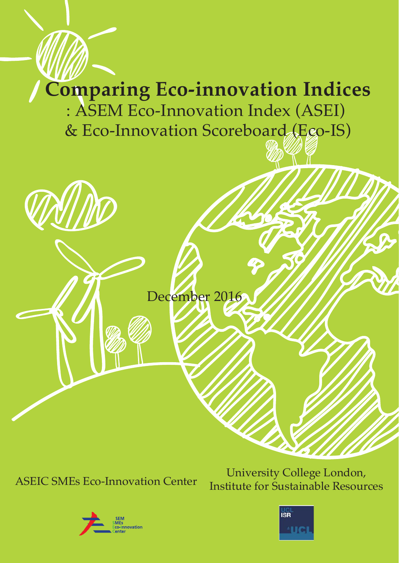# **Comparing Eco-innovation Indices** : ASEM Eco-Innovation Index (ASEI)

& Eco-Innovation Scoreboard (Ego-IS)



December 2016

University College London,<br>ASEIC SMEs Eco-Innovation Center Institute for Sustainable Peecur Institute for Sustainable Resources



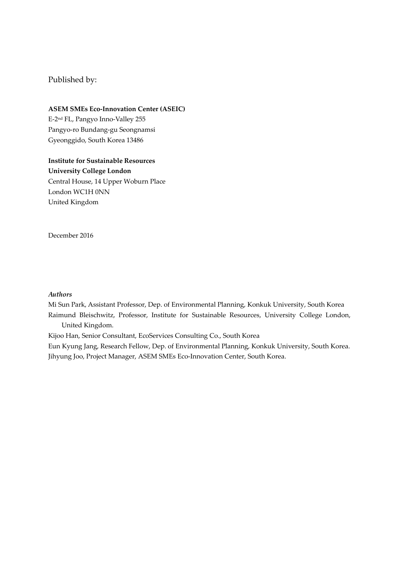## Published by:

## **ASEM SMEs Eco‐Innovation Center (ASEIC)** E‐2nd FL, Pangyo Inno‐Valley 255 Pangyo‐ro Bundang‐gu Seongnamsi

Gyeonggido, South Korea 13486

## **Institute for Sustainable Resources University College London**  Central House, 14 Upper Woburn Place London WC1H 0NN United Kingdom

December 2016

#### *Authors*

Mi Sun Park, Assistant Professor, Dep. of Environmental Planning, Konkuk University, South Korea Raimund Bleischwitz, Professor, Institute for Sustainable Resources, University College London, United Kingdom.

Kijoo Han, Senior Consultant, EcoServices Consulting Co., South Korea

Eun Kyung Jang, Research Fellow, Dep. of Environmental Planning, Konkuk University, South Korea. Jihyung Joo, Project Manager, ASEM SMEs Eco‐Innovation Center, South Korea.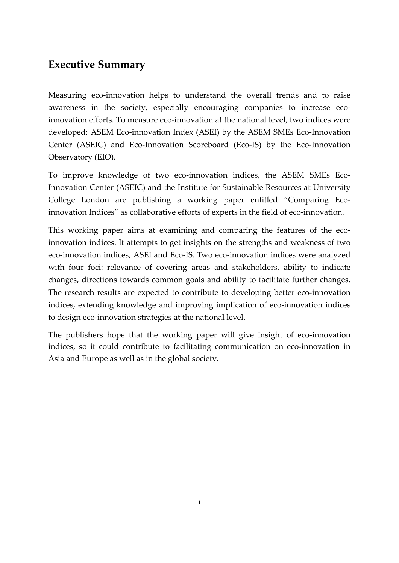## **Executive Summary**

Measuring eco-innovation helps to understand the overall trends and to raise awareness in the society, especially encouraging companies to increase ecoinnovation efforts. To measure eco-innovation at the national level, two indices were developed: ASEM Eco‐innovation Index (ASEI) by the ASEM SMEs Eco‐Innovation Center (ASEIC) and Eco‐Innovation Scoreboard (Eco‐IS) by the Eco‐Innovation Observatory (EIO).

To improve knowledge of two eco-innovation indices, the ASEM SMEs Eco-Innovation Center (ASEIC) and the Institute for Sustainable Resources at University College London are publishing a working paper entitled "Comparing Ecoinnovation Indices" as collaborative efforts of experts in the field of eco-innovation.

This working paper aims at examining and comparing the features of the ecoinnovation indices. It attempts to get insights on the strengths and weakness of two eco‐innovation indices, ASEI and Eco‐IS. Two eco‐innovation indices were analyzed with four foci: relevance of covering areas and stakeholders, ability to indicate changes, directions towards common goals and ability to facilitate further changes. The research results are expected to contribute to developing better eco-innovation indices, extending knowledge and improving implication of eco-innovation indices to design eco‐innovation strategies at the national level.

The publishers hope that the working paper will give insight of eco-innovation indices, so it could contribute to facilitating communication on eco-innovation in Asia and Europe as well as in the global society.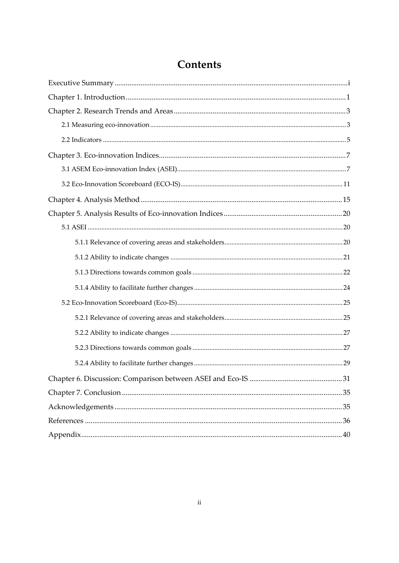## Contents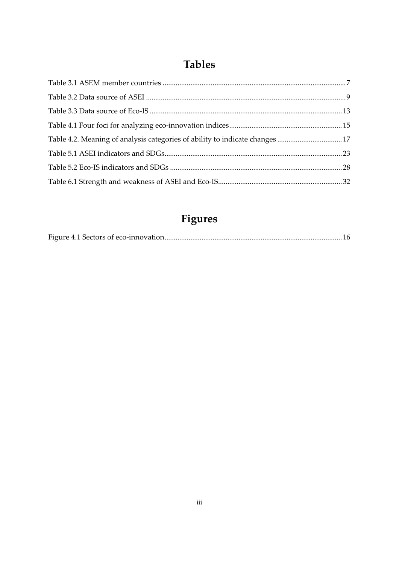## **Tables**

| Table 4.2. Meaning of analysis categories of ability to indicate changes 17 |  |
|-----------------------------------------------------------------------------|--|
|                                                                             |  |
|                                                                             |  |
|                                                                             |  |

## **Figures**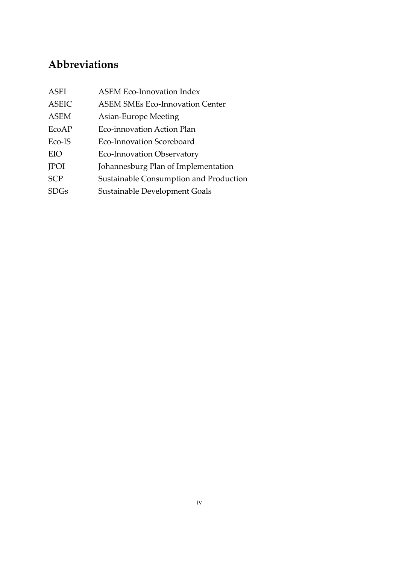## **Abbreviations**

| ASEI         | <b>ASEM Eco-Innovation Index</b>       |
|--------------|----------------------------------------|
| <b>ASEIC</b> | <b>ASEM SMEs Eco-Innovation Center</b> |
| <b>ASEM</b>  | Asian-Europe Meeting                   |
| EcoAP        | Eco-innovation Action Plan             |
| Eco-IS       | Eco-Innovation Scoreboard              |
| EIO          | <b>Eco-Innovation Observatory</b>      |
| <b>JPOI</b>  | Johannesburg Plan of Implementation    |
| <b>SCP</b>   | Sustainable Consumption and Production |
| SDGs         | Sustainable Development Goals          |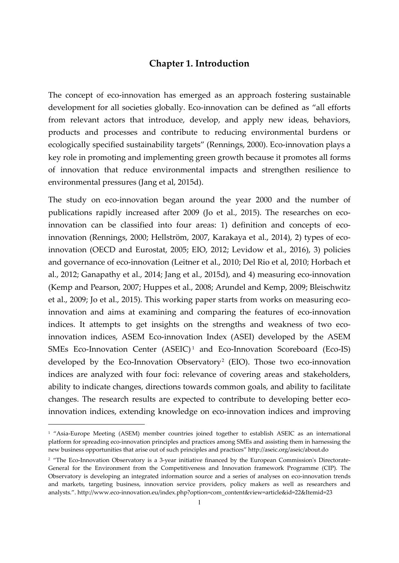## **Chapter 1. Introduction**

The concept of eco-innovation has emerged as an approach fostering sustainable development for all societies globally. Eco-innovation can be defined as "all efforts from relevant actors that introduce, develop, and apply new ideas, behaviors, products and processes and contribute to reducing environmental burdens or ecologically specified sustainability targets" (Rennings, 2000). Eco-innovation plays a key role in promoting and implementing green growth because it promotes all forms of innovation that reduce environmental impacts and strengthen resilience to environmental pressures (Jang et al, 2015d).

The study on eco-innovation began around the year 2000 and the number of publications rapidly increased after 2009 (Jo et al., 2015). The researches on ecoinnovation can be classified into four areas: 1) definition and concepts of ecoinnovation (Rennings, 2000; Hellström, 2007, Karakaya et al., 2014), 2) types of ecoinnovation (OECD and Eurostat, 2005; EIO, 2012; Levidow et al., 2016), 3) policies and governance of eco‐innovation (Leitner et al., 2010; Del Rio et al, 2010; Horbach et al., 2012; Ganapathy et al., 2014; Jang et al., 2015d), and 4) measuring eco‐innovation (Kemp and Pearson, 2007; Huppes et al., 2008; Arundel and Kemp, 2009; Bleischwitz et al., 2009; Jo et al., 2015). This working paper starts from works on measuring ecoinnovation and aims at examining and comparing the features of eco-innovation indices. It attempts to get insights on the strengths and weakness of two ecoinnovation indices, ASEM Eco-innovation Index (ASEI) developed by the ASEM SMEs Eco-Innovation Center (ASEIC)<sup>1</sup> and Eco-Innovation Scoreboard (Eco-IS) developed by the Eco-Innovation Observatory<sup>2</sup> (EIO). Those two eco-innovation indices are analyzed with four foci: relevance of covering areas and stakeholders, ability to indicate changes, directions towards common goals, and ability to facilitate changes. The research results are expected to contribute to developing better ecoinnovation indices, extending knowledge on eco-innovation indices and improving

-

<sup>&</sup>lt;sup>1</sup> "Asia-Europe Meeting (ASEM) member countries joined together to establish ASEIC as an international platform for spreading eco‐innovation principles and practices among SMEs and assisting them in harnessing the new business opportunities that arise out of such principles and practices" http://aseic.org/aseic/about.do

<sup>&</sup>lt;sup>2</sup> "The Eco-Innovation Observatory is a 3-year initiative financed by the European Commission's Directorate-General for the Environment from the Competitiveness and Innovation framework Programme (CIP). The Observatory is developing an integrated information source and a series of analyses on eco-innovation trends and markets, targeting business, innovation service providers, policy makers as well as researchers and analysts.". http://www.eco‐innovation.eu/index.php?option=com\_content&view=article&id=22&Itemid=23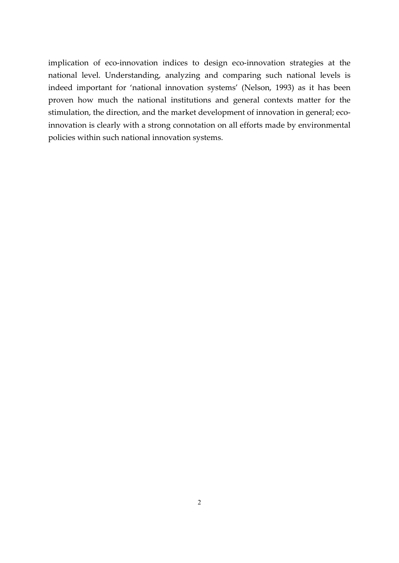implication of eco-innovation indices to design eco-innovation strategies at the national level. Understanding, analyzing and comparing such national levels is indeed important for 'national innovation systems' (Nelson, 1993) as it has been proven how much the national institutions and general contexts matter for the stimulation, the direction, and the market development of innovation in general; ecoinnovation is clearly with a strong connotation on all efforts made by environmental policies within such national innovation systems.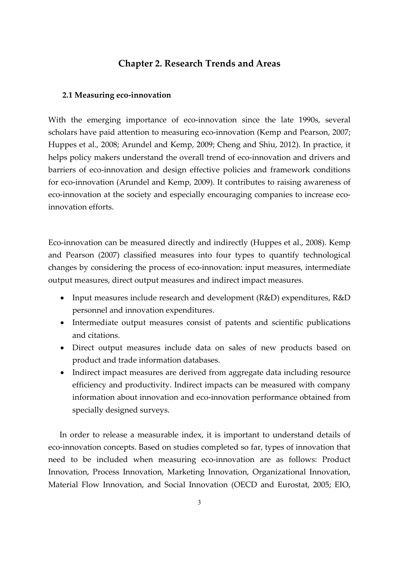## **Chapter 2. Research Trends and Areas**

#### **2.1 Measuring eco‐innovation**

With the emerging importance of eco-innovation since the late 1990s, several scholars have paid attention to measuring eco-innovation (Kemp and Pearson, 2007; Huppes et al., 2008; Arundel and Kemp, 2009; Cheng and Shiu, 2012). In practice, it helps policy makers understand the overall trend of eco-innovation and drivers and barriers of eco-innovation and design effective policies and framework conditions for eco-innovation (Arundel and Kemp, 2009). It contributes to raising awareness of eco-innovation at the society and especially encouraging companies to increase ecoinnovation efforts.

Eco‐innovation can be measured directly and indirectly (Huppes et al., 2008). Kemp and Pearson (2007) classified measures into four types to quantify technological changes by considering the process of eco‐innovation: input measures, intermediate output measures, direct output measures and indirect impact measures.

- Input measures include research and development (R&D) expenditures, R&D personnel and innovation expenditures.
- Intermediate output measures consist of patents and scientific publications and citations.
- Direct output measures include data on sales of new products based on product and trade information databases.
- Indirect impact measures are derived from aggregate data including resource efficiency and productivity. Indirect impacts can be measured with company information about innovation and eco-innovation performance obtained from specially designed surveys.

In order to release a measurable index, it is important to understand details of eco‐innovation concepts. Based on studies completed so far, types of innovation that need to be included when measuring eco-innovation are as follows: Product Innovation, Process Innovation, Marketing Innovation, Organizational Innovation, Material Flow Innovation, and Social Innovation (OECD and Eurostat, 2005; EIO,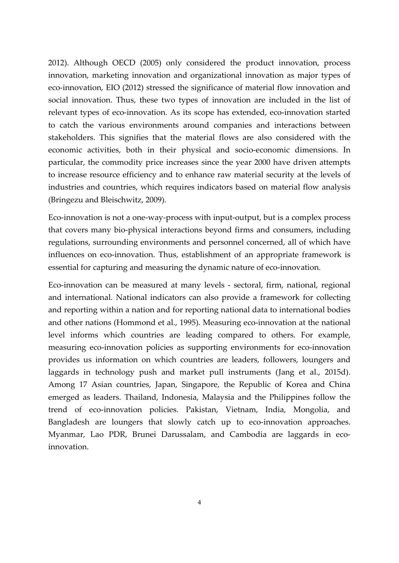2012). Although OECD (2005) only considered the product innovation, process innovation, marketing innovation and organizational innovation as major types of eco-innovation, EIO (2012) stressed the significance of material flow innovation and social innovation. Thus, these two types of innovation are included in the list of relevant types of eco-innovation. As its scope has extended, eco-innovation started to catch the various environments around companies and interactions between stakeholders. This signifies that the material flows are also considered with the economic activities, both in their physical and socio‐economic dimensions. In particular, the commodity price increases since the year 2000 have driven attempts to increase resource efficiency and to enhance raw material security at the levels of industries and countries, which requires indicators based on material flow analysis (Bringezu and Bleischwitz, 2009).

Eco-innovation is not a one-way-process with input-output, but is a complex process that covers many bio‐physical interactions beyond firms and consumers, including regulations, surrounding environments and personnel concerned, all of which have influences on eco-innovation. Thus, establishment of an appropriate framework is essential for capturing and measuring the dynamic nature of eco-innovation.

Eco-innovation can be measured at many levels - sectoral, firm, national, regional and international. National indicators can also provide a framework for collecting and reporting within a nation and for reporting national data to international bodies and other nations (Hommond et al., 1995). Measuring eco-innovation at the national level informs which countries are leading compared to others. For example, measuring eco‐innovation policies as supporting environments for eco‐innovation provides us information on which countries are leaders, followers, loungers and laggards in technology push and market pull instruments (Jang et al., 2015d). Among 17 Asian countries, Japan, Singapore, the Republic of Korea and China emerged as leaders. Thailand, Indonesia, Malaysia and the Philippines follow the trend of eco‐innovation policies. Pakistan, Vietnam, India, Mongolia, and Bangladesh are loungers that slowly catch up to eco-innovation approaches. Myanmar, Lao PDR, Brunei Darussalam, and Cambodia are laggards in ecoinnovation.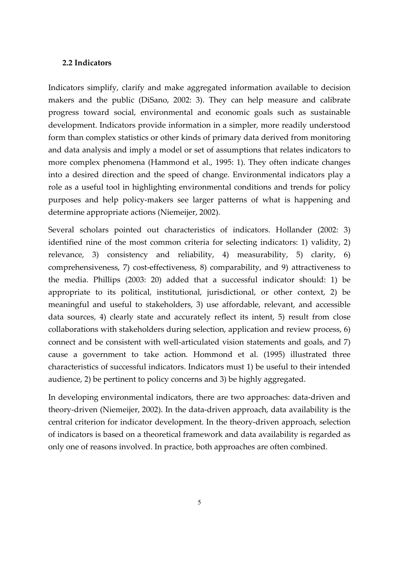### **2.2 Indicators**

Indicators simplify, clarify and make aggregated information available to decision makers and the public (DiSano, 2002: 3). They can help measure and calibrate progress toward social, environmental and economic goals such as sustainable development. Indicators provide information in a simpler, more readily understood form than complex statistics or other kinds of primary data derived from monitoring and data analysis and imply a model or set of assumptions that relates indicators to more complex phenomena (Hammond et al., 1995: 1). They often indicate changes into a desired direction and the speed of change. Environmental indicators play a role as a useful tool in highlighting environmental conditions and trends for policy purposes and help policy‐makers see larger patterns of what is happening and determine appropriate actions (Niemeijer, 2002).

Several scholars pointed out characteristics of indicators. Hollander (2002: 3) identified nine of the most common criteria for selecting indicators: 1) validity, 2) relevance, 3) consistency and reliability, 4) measurability, 5) clarity, 6) comprehensiveness, 7) cost‐effectiveness, 8) comparability, and 9) attractiveness to the media. Phillips (2003: 20) added that a successful indicator should: 1) be appropriate to its political, institutional, jurisdictional, or other context, 2) be meaningful and useful to stakeholders, 3) use affordable, relevant, and accessible data sources, 4) clearly state and accurately reflect its intent, 5) result from close collaborations with stakeholders during selection, application and review process, 6) connect and be consistent with well-articulated vision statements and goals, and 7) cause a government to take action. Hommond et al. (1995) illustrated three characteristics of successful indicators. Indicators must 1) be useful to their intended audience, 2) be pertinent to policy concerns and 3) be highly aggregated.

In developing environmental indicators, there are two approaches: data-driven and theory‐driven (Niemeijer, 2002). In the data‐driven approach, data availability is the central criterion for indicator development. In the theory‐driven approach, selection of indicators is based on a theoretical framework and data availability is regarded as only one of reasons involved. In practice, both approaches are often combined.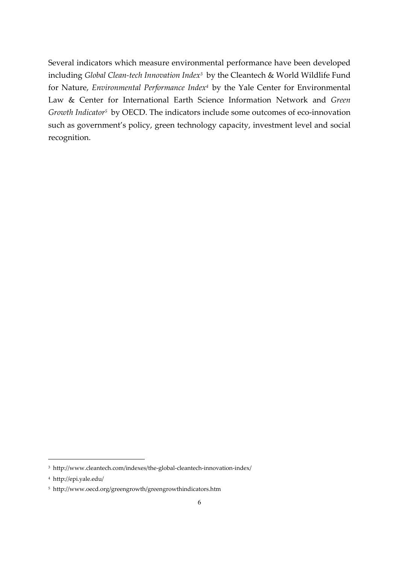Several indicators which measure environmental performance have been developed including *Global Clean‐tech Innovation Index3* by the Cleantech & World Wildlife Fund for Nature, *Environmental Performance Index4* by the Yale Center for Environmental Law & Center for International Earth Science Information Network and *Green Growth Indicator5* by OECD. The indicators include some outcomes of eco‐innovation such as government's policy, green technology capacity, investment level and social recognition.

-

<sup>&</sup>lt;sup>3</sup> http://www.cleantech.com/indexes/the-global-cleantech-innovation-index/

<sup>4</sup> http://epi.yale.edu/

<sup>5</sup> http://www.oecd.org/greengrowth/greengrowthindicators.htm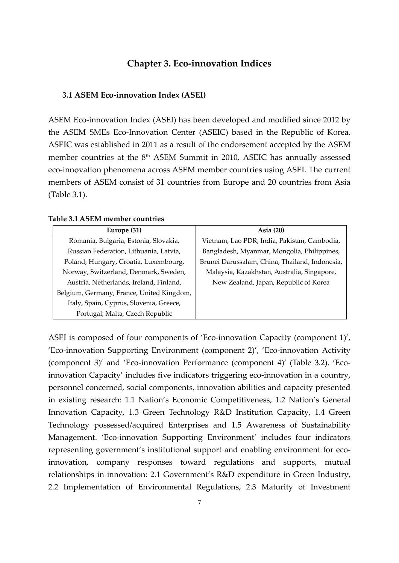## **Chapter 3. Eco‐innovation Indices**

#### **3.1 ASEM Eco‐innovation Index (ASEI)**

ASEM Eco‐innovation Index (ASEI) has been developed and modified since 2012 by the ASEM SMEs Eco‐Innovation Center (ASEIC) based in the Republic of Korea. ASEIC was established in 2011 as a result of the endorsement accepted by the ASEM member countries at the 8<sup>th</sup> ASEM Summit in 2010. ASEIC has annually assessed eco-innovation phenomena across ASEM member countries using ASEI. The current members of ASEM consist of 31 countries from Europe and 20 countries from Asia (Table 3.1).

| Europe (31)                               | Asia $(20)$                                    |
|-------------------------------------------|------------------------------------------------|
| Romania, Bulgaria, Estonia, Slovakia,     | Vietnam, Lao PDR, India, Pakistan, Cambodia,   |
| Russian Federation, Lithuania, Latvia,    | Bangladesh, Myanmar, Mongolia, Philippines,    |
| Poland, Hungary, Croatia, Luxembourg,     | Brunei Darussalam, China, Thailand, Indonesia, |
| Norway, Switzerland, Denmark, Sweden,     | Malaysia, Kazakhstan, Australia, Singapore,    |
| Austria, Netherlands, Ireland, Finland,   | New Zealand, Japan, Republic of Korea          |
| Belgium, Germany, France, United Kingdom, |                                                |
| Italy, Spain, Cyprus, Slovenia, Greece,   |                                                |
| Portugal, Malta, Czech Republic           |                                                |

#### **Table 3.1 ASEM member countries**

ASEI is composed of four components of 'Eco-innovation Capacity (component 1)', 'Eco‐innovation Supporting Environment (component 2)', 'Eco‐innovation Activity (component 3)' and 'Eco‐innovation Performance (component 4)' (Table 3.2). 'Eco‐ innovation Capacity' includes five indicators triggering eco-innovation in a country, personnel concerned, social components, innovation abilities and capacity presented in existing research: 1.1 Nation's Economic Competitiveness, 1.2 Nation's General Innovation Capacity, 1.3 Green Technology R&D Institution Capacity, 1.4 Green Technology possessed/acquired Enterprises and 1.5 Awareness of Sustainability Management. 'Eco-innovation Supporting Environment' includes four indicators representing government's institutional support and enabling environment for ecoinnovation, company responses toward regulations and supports, mutual relationships in innovation: 2.1 Government's R&D expenditure in Green Industry, 2.2 Implementation of Environmental Regulations, 2.3 Maturity of Investment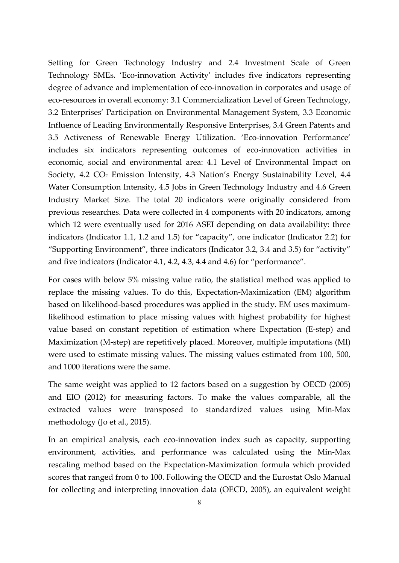Setting for Green Technology Industry and 2.4 Investment Scale of Green Technology SMEs. 'Eco-innovation Activity' includes five indicators representing degree of advance and implementation of eco-innovation in corporates and usage of eco-resources in overall economy: 3.1 Commercialization Level of Green Technology, 3.2 Enterprises' Participation on Environmental Management System, 3.3 Economic Influence of Leading Environmentally Responsive Enterprises, 3.4 Green Patents and 3.5 Activeness of Renewable Energy Utilization. 'Eco‐innovation Performance' includes six indicators representing outcomes of eco-innovation activities in economic, social and environmental area: 4.1 Level of Environmental Impact on Society, 4.2 CO<sub>2</sub> Emission Intensity, 4.3 Nation's Energy Sustainability Level, 4.4 Water Consumption Intensity, 4.5 Jobs in Green Technology Industry and 4.6 Green Industry Market Size. The total 20 indicators were originally considered from previous researches. Data were collected in 4 components with 20 indicators, among which 12 were eventually used for 2016 ASEI depending on data availability: three indicators (Indicator 1.1, 1.2 and 1.5) for "capacity", one indicator (Indicator 2.2) for "Supporting Environment", three indicators (Indicator 3.2, 3.4 and 3.5) for "activity" and five indicators (Indicator 4.1, 4.2, 4.3, 4.4 and 4.6) for "performance".

For cases with below 5% missing value ratio, the statistical method was applied to replace the missing values. To do this, Expectation‐Maximization (EM) algorithm based on likelihood‐based procedures was applied in the study. EM uses maximum‐ likelihood estimation to place missing values with highest probability for highest value based on constant repetition of estimation where Expectation (E‐step) and Maximization (M-step) are repetitively placed. Moreover, multiple imputations (MI) were used to estimate missing values. The missing values estimated from 100, 500, and 1000 iterations were the same.

The same weight was applied to 12 factors based on a suggestion by OECD (2005) and EIO (2012) for measuring factors. To make the values comparable, all the extracted values were transposed to standardized values using Min‐Max methodology (Jo et al., 2015).

In an empirical analysis, each eco-innovation index such as capacity, supporting environment, activities, and performance was calculated using the Min‐Max rescaling method based on the Expectation‐Maximization formula which provided scores that ranged from 0 to 100. Following the OECD and the Eurostat Oslo Manual for collecting and interpreting innovation data (OECD, 2005), an equivalent weight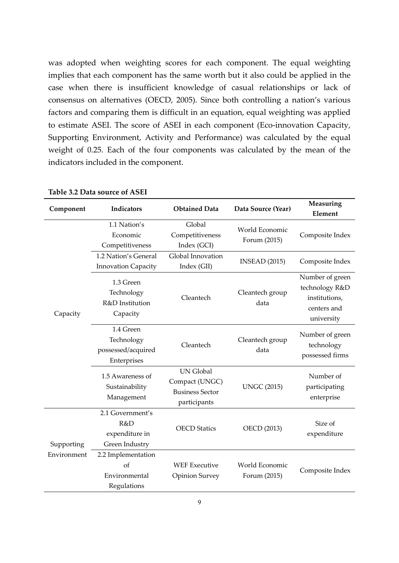was adopted when weighting scores for each component. The equal weighting implies that each component has the same worth but it also could be applied in the case when there is insufficient knowledge of casual relationships or lack of consensus on alternatives (OECD, 2005). Since both controlling a nation's various factors and comparing them is difficult in an equation, equal weighting was applied to estimate ASEI. The score of ASEI in each component (Eco-innovation Capacity, Supporting Environment, Activity and Performance) was calculated by the equal weight of 0.25. Each of the four components was calculated by the mean of the indicators included in the component.

| Component   | Indicators                                                   | <b>Obtained Data</b>                                                         | Data Source (Year)             | Measuring<br>Element                                                            |
|-------------|--------------------------------------------------------------|------------------------------------------------------------------------------|--------------------------------|---------------------------------------------------------------------------------|
|             | 1.1 Nation's<br>Economic<br>Competitiveness                  | Global<br>Competitiveness<br>Index (GCI)                                     | World Economic<br>Forum (2015) | Composite Index                                                                 |
|             | 1.2 Nation's General<br><b>Innovation Capacity</b>           | Global Innovation<br>Index (GII)                                             | <b>INSEAD</b> (2015)           | Composite Index                                                                 |
| Capacity    | 1.3 Green<br>Technology<br>R&D Institution<br>Capacity       | Cleantech                                                                    | Cleantech group<br>data        | Number of green<br>technology R&D<br>institutions,<br>centers and<br>university |
|             | 1.4 Green<br>Technology<br>possessed/acquired<br>Enterprises | Cleantech                                                                    | Cleantech group<br>data        | Number of green<br>technology<br>possessed firms                                |
|             | 1.5 Awareness of<br>Sustainability<br>Management             | <b>UN Global</b><br>Compact (UNGC)<br><b>Business Sector</b><br>participants | <b>UNGC (2015)</b>             | Number of<br>participating<br>enterprise                                        |
| Supporting  | 2.1 Government's<br>R&D<br>expenditure in<br>Green Industry  | <b>OECD</b> Statics                                                          | <b>OECD</b> (2013)             | Size of<br>expenditure                                                          |
| Environment | 2.2 Implementation<br>of<br>Environmental<br>Regulations     | <b>WEF Executive</b><br><b>Opinion Survey</b>                                | World Economic<br>Forum (2015) | Composite Index                                                                 |

#### **Table 3.2 Data source of ASEI**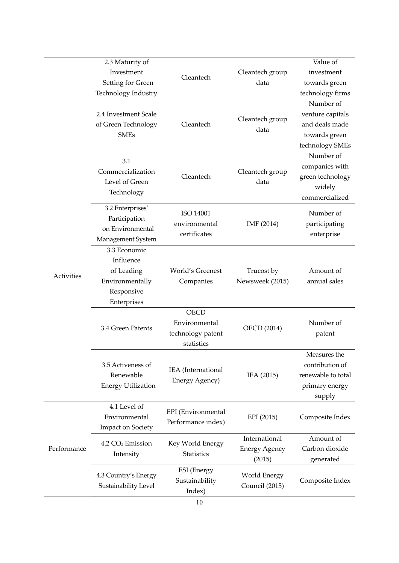| Value of<br>Cleantech group<br>investment<br>data<br>towards green                                             |
|----------------------------------------------------------------------------------------------------------------|
| technology firms                                                                                               |
| Number of<br>venture capitals<br>Cleantech group<br>and deals made<br>data<br>towards green<br>technology SMEs |
| Number of<br>companies with<br>Cleantech group<br>green technology<br>data<br>widely<br>commercialized         |
| Number of<br>IMF (2014)<br>participating<br>enterprise                                                         |
| Amount of<br>Trucost by<br>Newsweek (2015)<br>annual sales                                                     |
| Number of<br><b>OECD</b> (2014)<br>patent                                                                      |
| Measures the<br>contribution of<br>IEA (2015)<br>renewable to total<br>primary energy<br>supply                |
| EPI (2015)<br>Composite Index                                                                                  |
| International<br>Amount of<br>Carbon dioxide<br><b>Energy Agency</b><br>(2015)<br>generated                    |
| World Energy<br>Composite Index<br>Council (2015)                                                              |
|                                                                                                                |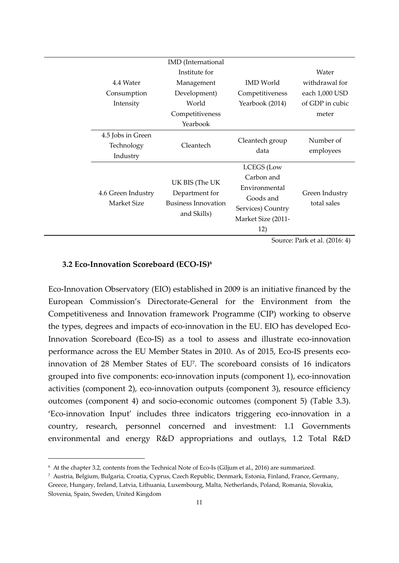|                                             | <b>IMD</b> (International                                                     |                                                                                                                 |                               |
|---------------------------------------------|-------------------------------------------------------------------------------|-----------------------------------------------------------------------------------------------------------------|-------------------------------|
|                                             | Institute for                                                                 |                                                                                                                 | Water                         |
| 4.4 Water                                   | Management                                                                    | <b>IMD</b> World                                                                                                | withdrawal for                |
| Consumption                                 | Development)                                                                  | Competitiveness                                                                                                 | each 1,000 USD                |
| Intensity                                   | World                                                                         | Yearbook (2014)                                                                                                 | of GDP in cubic               |
|                                             | Competitiveness                                                               |                                                                                                                 | meter                         |
|                                             | Yearbook                                                                      |                                                                                                                 |                               |
| 4.5 Jobs in Green<br>Technology<br>Industry | Cleantech                                                                     | Cleantech group<br>data                                                                                         | Number of<br>employees        |
| 4.6 Green Industry<br>Market Size           | UK BIS (The UK<br>Department for<br><b>Business Innovation</b><br>and Skills) | <b>LCEGS</b> (Low<br>Carbon and<br>Environmental<br>Goods and<br>Services) Country<br>Market Size (2011-<br>12) | Green Industry<br>total sales |
|                                             |                                                                               |                                                                                                                 | Source: Park et al. (2016: 4) |

#### **3.2 Eco‐Innovation Scoreboard (ECO‐IS)6**

-

Eco‐Innovation Observatory (EIO) established in 2009 is an initiative financed by the European Commission's Directorate‐General for the Environment from the Competitiveness and Innovation framework Programme (CIP) working to observe the types, degrees and impacts of eco-innovation in the EU. EIO has developed Eco-Innovation Scoreboard (Eco‐IS) as a tool to assess and illustrate eco‐innovation performance across the EU Member States in 2010. As of 2015, Eco-IS presents ecoinnovation of 28 Member States of EU7. The scoreboard consists of 16 indicators grouped into five components: eco‐innovation inputs (component 1), eco‐innovation activities (component 2), eco-innovation outputs (component 3), resource efficiency outcomes (component 4) and socio‐economic outcomes (component 5) (Table 3.3). 'Eco-innovation Input' includes three indicators triggering eco-innovation in a country, research, personnel concerned and investment: 1.1 Governments environmental and energy R&D appropriations and outlays, 1.2 Total R&D

<sup>6</sup> At the chapter 3.2, contents from the Technical Note of Eco‐Is (Giljum et al., 2016) are summarized.

<sup>7</sup> Austria, Belgium, Bulgaria, Croatia, Cyprus, Czech Republic, Denmark, Estonia, Finland, France, Germany, Greece, Hungary, Ireland, Latvia, Lithuania, Luxembourg, Malta, Netherlands, Poland, Romania, Slovakia, Slovenia, Spain, Sweden, United Kingdom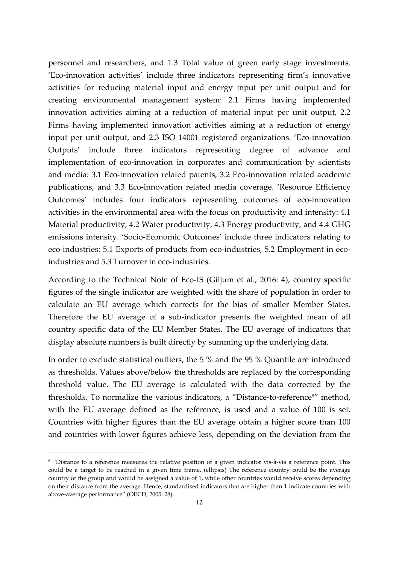personnel and researchers, and 1.3 Total value of green early stage investments. 'Eco-innovation activities' include three indicators representing firm's innovative activities for reducing material input and energy input per unit output and for creating environmental management system: 2.1 Firms having implemented innovation activities aiming at a reduction of material input per unit output, 2.2 Firms having implemented innovation activities aiming at a reduction of energy input per unit output, and 2.3 ISO 14001 registered organizations. 'Eco-innovation Outputs' include three indicators representing degree of advance and implementation of eco-innovation in corporates and communication by scientists and media: 3.1 Eco-innovation related patents, 3.2 Eco-innovation related academic publications, and 3.3 Eco‐innovation related media coverage. 'Resource Efficiency Outcomes' includes four indicators representing outcomes of eco-innovation activities in the environmental area with the focus on productivity and intensity: 4.1 Material productivity, 4.2 Water productivity, 4.3 Energy productivity, and 4.4 GHG emissions intensity. 'Socio‐Economic Outcomes' include three indicators relating to eco-industries: 5.1 Exports of products from eco-industries, 5.2 Employment in ecoindustries and 5.3 Turnover in eco-industries.

According to the Technical Note of Eco‐IS (Giljum et al., 2016: 4), country specific figures of the single indicator are weighted with the share of population in order to calculate an EU average which corrects for the bias of smaller Member States. Therefore the EU average of a sub‐indicator presents the weighted mean of all country specific data of the EU Member States. The EU average of indicators that display absolute numbers is built directly by summing up the underlying data.

In order to exclude statistical outliers, the 5 % and the 95 % Quantile are introduced as thresholds. Values above/below the thresholds are replaced by the corresponding threshold value. The EU average is calculated with the data corrected by the thresholds. To normalize the various indicators, a "Distance-to-reference<sup>8"</sup> method, with the EU average defined as the reference, is used and a value of 100 is set. Countries with higher figures than the EU average obtain a higher score than 100 and countries with lower figures achieve less, depending on the deviation from the

-

<sup>8 &</sup>quot;Distance to a reference measures the relative position of a given indicator vis-à-vis a reference point. This could be a target to be reached in a given time frame. (ellipsis) The reference country could be the average country of the group and would be assigned a value of 1, while other countries would receive scores depending on their distance from the average. Hence, standardised indicators that are higher than 1 indicate countries with above‐average performance" (OECD, 2005: 28).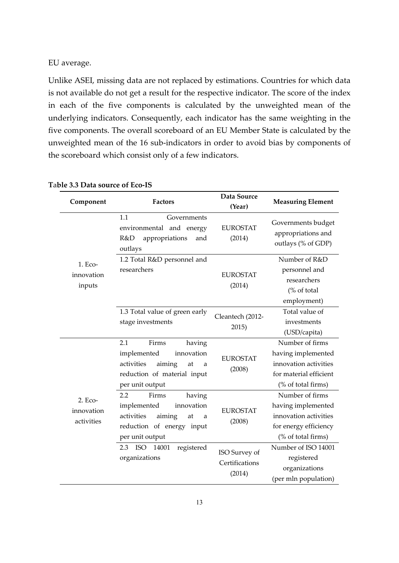EU average.

Unlike ASEI, missing data are not replaced by estimations. Countries for which data is not available do not get a result for the respective indicator. The score of the index in each of the five components is calculated by the unweighted mean of the underlying indicators. Consequently, each indicator has the same weighting in the five components. The overall scoreboard of an EU Member State is calculated by the unweighted mean of the 16 sub‐indicators in order to avoid bias by components of the scoreboard which consist only of a few indicators.

| Component                           | <b>Factors</b>                                                                                                                           | Data Source<br>(Year)                     | <b>Measuring Element</b>                                                                                       |
|-------------------------------------|------------------------------------------------------------------------------------------------------------------------------------------|-------------------------------------------|----------------------------------------------------------------------------------------------------------------|
|                                     | 1.1<br>Governments<br>environmental and energy<br>R&D<br>appropriations<br>and<br>outlays                                                | <b>EUROSTAT</b><br>(2014)                 | Governments budget<br>appropriations and<br>outlays (% of GDP)                                                 |
| 1. Eco-<br>innovation<br>inputs     | 1.2 Total R&D personnel and<br>researchers                                                                                               | <b>EUROSTAT</b><br>(2014)                 | Number of R&D<br>personnel and<br>researchers<br>(% of total<br>employment)                                    |
|                                     | 1.3 Total value of green early<br>stage investments                                                                                      | Cleantech (2012-<br>2015)                 | Total value of<br>investments<br>(USD/capita)                                                                  |
|                                     | 2.1<br>Firms<br>having<br>implemented<br>innovation<br>activities<br>aiming<br>at<br>a<br>reduction of material input<br>per unit output | <b>EUROSTAT</b><br>(2008)                 | Number of firms<br>having implemented<br>innovation activities<br>for material efficient<br>(% of total firms) |
| 2. Eco-<br>innovation<br>activities | 2.2<br>Firms<br>having<br>implemented<br>innovation<br>activities<br>aiming<br>at<br>a<br>reduction of energy input<br>per unit output   | <b>EUROSTAT</b><br>(2008)                 | Number of firms<br>having implemented<br>innovation activities<br>for energy efficiency<br>(% of total firms)  |
|                                     | registered<br><b>ISO</b><br>14001<br>2.3<br>organizations                                                                                | ISO Survey of<br>Certifications<br>(2014) | Number of ISO 14001<br>registered<br>organizations<br>(per mln population)                                     |

#### **T**a**ble 3.3 Data source of Eco‐IS**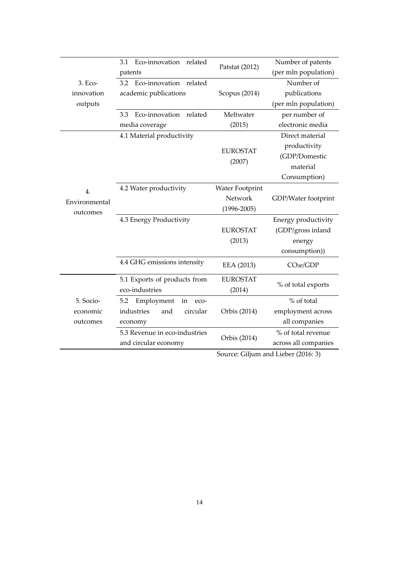|               | Eco-innovation<br>related<br>3.1 | Patstat (2012)  | Number of patents     |
|---------------|----------------------------------|-----------------|-----------------------|
|               | patents                          |                 | (per mln population)  |
| 3. Eco-       | Eco-innovation related<br>3.2    |                 | Number of             |
| innovation    | academic publications            | Scopus (2014)   | publications          |
| outputs       |                                  |                 | (per mln population)  |
|               | Eco-innovation<br>related<br>3.3 | Meltwater       | per number of         |
|               | media coverage                   | (2015)          | electronic media      |
|               | 4.1 Material productivity        |                 | Direct material       |
|               |                                  | <b>EUROSTAT</b> | productivity          |
|               |                                  | (2007)          | (GDP/Domestic         |
|               |                                  |                 | material              |
|               |                                  |                 | Consumption)          |
| 4.            | 4.2 Water productivity           | Water Footprint |                       |
| Environmental |                                  | Network         | GDP/Water footprint   |
| outcomes      |                                  | $(1996 - 2005)$ |                       |
|               | 4.3 Energy Productivity          |                 | Energy productivity   |
|               |                                  | <b>EUROSTAT</b> | (GDP/gross inland     |
|               |                                  | (2013)          | energy                |
|               |                                  |                 | consumption))         |
|               | 4.4 GHG emissions intensity      | EEA (2013)      | CO <sub>2e</sub> /GDP |
|               | 5.1 Exports of products from     | <b>EUROSTAT</b> | % of total exports    |
|               | eco-industries                   | (2014)          |                       |
| 5. Socio-     | Employment<br>5.2<br>in<br>eco-  |                 | % of total            |
| economic      | industries<br>circular<br>and    | Orbis (2014)    | employment across     |
| outcomes      | economy                          |                 | all companies         |
|               | 5.3 Revenue in eco-industries    |                 | % of total revenue    |
|               |                                  | Orbis (2014)    |                       |

Source: Giljum and Lieber (2016: 3)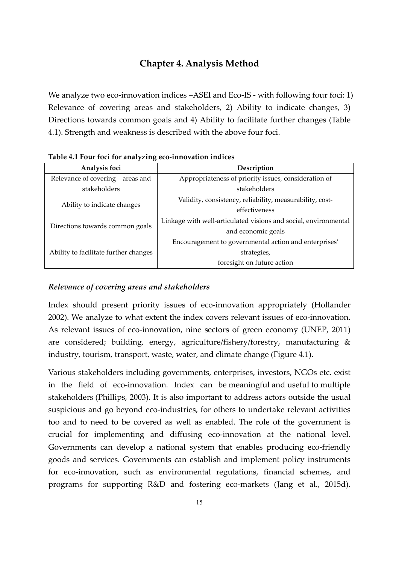## **Chapter 4. Analysis Method**

We analyze two eco-innovation indices –ASEI and Eco-IS - with following four foci: 1) Relevance of covering areas and stakeholders, 2) Ability to indicate changes, 3) Directions towards common goals and 4) Ability to facilitate further changes (Table 4.1). Strength and weakness is described with the above four foci.

| Analysis foci                         | Description                                                     |  |
|---------------------------------------|-----------------------------------------------------------------|--|
| Relevance of covering<br>areas and    | Appropriateness of priority issues, consideration of            |  |
| stakeholders                          | stakeholders                                                    |  |
| Ability to indicate changes           | Validity, consistency, reliability, measurability, cost-        |  |
|                                       | effectiveness                                                   |  |
|                                       | Linkage with well-articulated visions and social, environmental |  |
| Directions towards common goals       | and economic goals                                              |  |
|                                       | Encouragement to governmental action and enterprises'           |  |
| Ability to facilitate further changes | strategies,                                                     |  |
|                                       | foresight on future action                                      |  |

**Table 4.1 Four foci for analyzing eco‐innovation indices** 

#### *Relevance of covering areas and stakeholders*

Index should present priority issues of eco-innovation appropriately (Hollander 2002). We analyze to what extent the index covers relevant issues of eco-innovation. As relevant issues of eco-innovation, nine sectors of green economy (UNEP, 2011) are considered; building, energy, agriculture/fishery/forestry, manufacturing & industry, tourism, transport, waste, water, and climate change (Figure 4.1).

Various stakeholders including governments, enterprises, investors, NGOs etc. exist in the field of eco-innovation. Index can be meaningful and useful to multiple stakeholders (Phillips, 2003). It is also important to address actors outside the usual suspicious and go beyond eco-industries, for others to undertake relevant activities too and to need to be covered as well as enabled. The role of the government is crucial for implementing and diffusing eco-innovation at the national level. Governments can develop a national system that enables producing eco-friendly goods and services. Governments can establish and implement policy instruments for eco-innovation, such as environmental regulations, financial schemes, and programs for supporting R&D and fostering eco-markets (Jang et al., 2015d).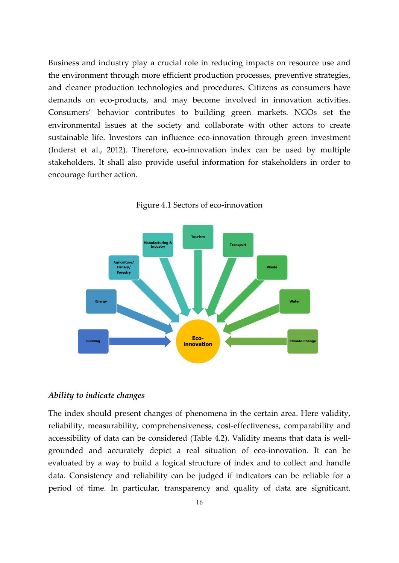Business and industry play a crucial role in reducing impacts on resource use and the environment through more efficient production processes, preventive strategies, and cleaner production technologies and procedures. Citizens as consumers have demands on eco-products, and may become involved in innovation activities. Consumers' behavior contributes to building green markets. NGOs set the environmental issues at the society and collaborate with other actors to create sustainable life. Investors can influence eco-innovation through green investment (Inderst et al., 2012). Therefore, eco‐innovation index can be used by multiple stakeholders. It shall also provide useful information for stakeholders in order to encourage further action.



Figure 4.1 Sectors of eco-innovation

#### *Ability to indicate changes*

The index should present changes of phenomena in the certain area. Here validity, reliability, measurability, comprehensiveness, cost-effectiveness, comparability and accessibility of data can be considered (Table 4.2). Validity means that data is well‐ grounded and accurately depict a real situation of eco-innovation. It can be evaluated by a way to build a logical structure of index and to collect and handle data. Consistency and reliability can be judged if indicators can be reliable for a period of time. In particular, transparency and quality of data are significant.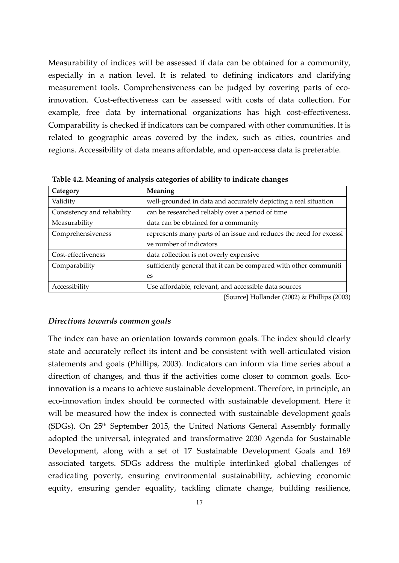Measurability of indices will be assessed if data can be obtained for a community, especially in a nation level. It is related to defining indicators and clarifying measurement tools. Comprehensiveness can be judged by covering parts of ecoinnovation. Cost-effectiveness can be assessed with costs of data collection. For example, free data by international organizations has high cost-effectiveness. Comparability is checked if indicators can be compared with other communities. It is related to geographic areas covered by the index, such as cities, countries and regions. Accessibility of data means affordable, and open‐access data is preferable.

| Category                    | <b>Meaning</b>                                                     |
|-----------------------------|--------------------------------------------------------------------|
| Validity                    | well-grounded in data and accurately depicting a real situation    |
| Consistency and reliability | can be researched reliably over a period of time                   |
| Measurability               | data can be obtained for a community                               |
| Comprehensiveness           | represents many parts of an issue and reduces the need for excessi |
|                             | ve number of indicators                                            |
| Cost-effectiveness          | data collection is not overly expensive                            |
| Comparability               | sufficiently general that it can be compared with other communiti  |
|                             | es                                                                 |
| Accessibility               | Use affordable, relevant, and accessible data sources              |

**Table 4.2. Meaning of analysis categories of ability to indicate changes**

[Source] Hollander (2002) & Phillips (2003)

#### *Directions towards common goals*

The index can have an orientation towards common goals. The index should clearly state and accurately reflect its intent and be consistent with well‐articulated vision statements and goals (Phillips, 2003). Indicators can inform via time series about a direction of changes, and thus if the activities come closer to common goals. Ecoinnovation is a means to achieve sustainable development. Therefore, in principle, an eco‐innovation index should be connected with sustainable development. Here it will be measured how the index is connected with sustainable development goals (SDGs). On 25th September 2015, the United Nations General Assembly formally adopted the universal, integrated and transformative 2030 Agenda for Sustainable Development, along with a set of 17 Sustainable Development Goals and 169 associated targets. SDGs address the multiple interlinked global challenges of eradicating poverty, ensuring environmental sustainability, achieving economic equity, ensuring gender equality, tackling climate change, building resilience,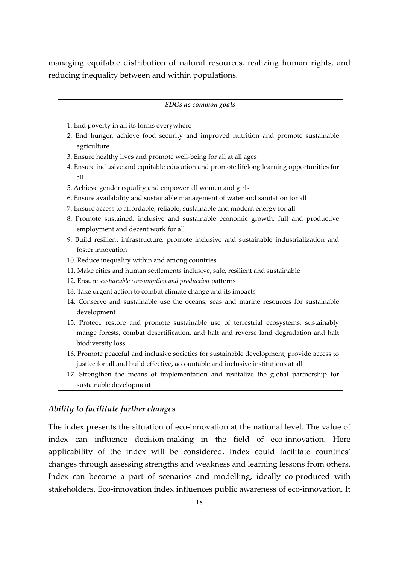managing equitable distribution of natural resources, realizing human rights, and reducing inequality between and within populations.

#### *SDGs as common goals*

- 1. End poverty in all its forms everywhere
- 2. End hunger, achieve food security and improved nutrition and promote sustainable agriculture
- 3. Ensure healthy lives and promote well‐being for all at all ages
- 4. Ensure inclusive and equitable education and promote lifelong learning opportunities for all
- 5. Achieve gender equality and empower all women and girls
- 6. Ensure availability and sustainable management of water and sanitation for all
- 7. Ensure access to affordable, reliable, sustainable and modern energy for all
- 8. Promote sustained, inclusive and sustainable economic growth, full and productive employment and decent work for all
- 9. Build resilient infrastructure, promote inclusive and sustainable industrialization and foster innovation
- 10. Reduce inequality within and among countries
- 11. Make cities and human settlements inclusive, safe, resilient and sustainable
- 12. Ensure *sustainable consumption and production* patterns
- 13. Take urgent action to combat climate change and its impacts
- 14. Conserve and sustainable use the oceans, seas and marine resources for sustainable development
- 15. Protect, restore and promote sustainable use of terrestrial ecosystems, sustainably mange forests, combat desertification, and halt and reverse land degradation and halt biodiversity loss
- 16. Promote peaceful and inclusive societies for sustainable development, provide access to justice for all and build effective, accountable and inclusive institutions at all
- 17. Strengthen the means of implementation and revitalize the global partnership for sustainable development

#### *Ability to facilitate further changes*

The index presents the situation of eco-innovation at the national level. The value of index can influence decision-making in the field of eco-innovation. Here applicability of the index will be considered. Index could facilitate countries' changes through assessing strengths and weakness and learning lessons from others. Index can become a part of scenarios and modelling, ideally co-produced with stakeholders. Eco-innovation index influences public awareness of eco-innovation. It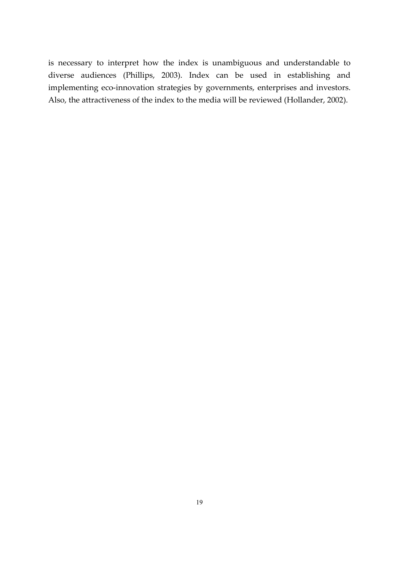is necessary to interpret how the index is unambiguous and understandable to diverse audiences (Phillips, 2003). Index can be used in establishing and implementing eco-innovation strategies by governments, enterprises and investors. Also, the attractiveness of the index to the media will be reviewed (Hollander, 2002).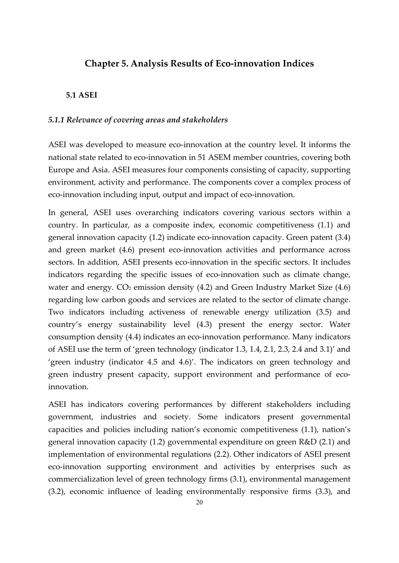## **Chapter 5. Analysis Results of Eco‐innovation Indices**

#### **5.1 ASEI**

#### *5.1.1 Relevance of covering areas and stakeholders*

ASEI was developed to measure eco-innovation at the country level. It informs the national state related to eco-innovation in 51 ASEM member countries, covering both Europe and Asia. ASEI measures four components consisting of capacity, supporting environment, activity and performance. The components cover a complex process of eco-innovation including input, output and impact of eco-innovation.

In general, ASEI uses overarching indicators covering various sectors within a country. In particular, as a composite index, economic competitiveness (1.1) and general innovation capacity (1.2) indicate eco‐innovation capacity. Green patent (3.4) and green market (4.6) present eco-innovation activities and performance across sectors. In addition, ASEI presents eco-innovation in the specific sectors. It includes indicators regarding the specific issues of eco-innovation such as climate change, water and energy.  $CO<sub>2</sub>$  emission density (4.2) and Green Industry Market Size (4.6) regarding low carbon goods and services are related to the sector of climate change. Two indicators including activeness of renewable energy utilization (3.5) and country's energy sustainability level (4.3) present the energy sector. Water consumption density (4.4) indicates an eco-innovation performance. Many indicators of ASEI use the term of 'green technology (indicator 1.3, 1.4, 2.1, 2.3, 2.4 and 3.1)' and 'green industry (indicator 4.5 and 4.6)'. The indicators on green technology and green industry present capacity, support environment and performance of ecoinnovation.

ASEI has indicators covering performances by different stakeholders including government, industries and society. Some indicators present governmental capacities and policies including nation's economic competitiveness (1.1), nation's general innovation capacity (1.2) governmental expenditure on green R&D (2.1) and implementation of environmental regulations (2.2). Other indicators of ASEI present eco-innovation supporting environment and activities by enterprises such as commercialization level of green technology firms (3.1), environmental management (3.2), economic influence of leading environmentally responsive firms (3.3), and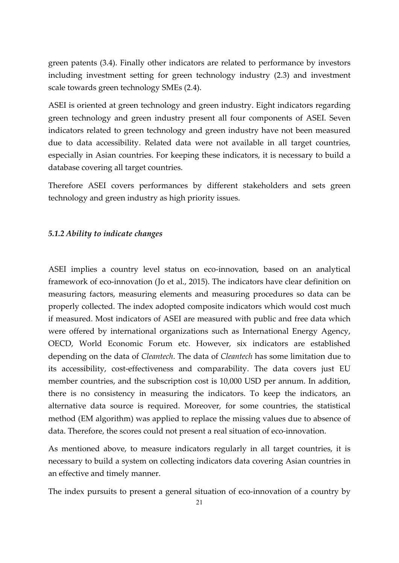green patents (3.4). Finally other indicators are related to performance by investors including investment setting for green technology industry (2.3) and investment scale towards green technology SMEs (2.4).

ASEI is oriented at green technology and green industry. Eight indicators regarding green technology and green industry present all four components of ASEI. Seven indicators related to green technology and green industry have not been measured due to data accessibility. Related data were not available in all target countries, especially in Asian countries. For keeping these indicators, it is necessary to build a database covering all target countries.

Therefore ASEI covers performances by different stakeholders and sets green technology and green industry as high priority issues.

#### *5.1.2 Ability to indicate changes*

ASEI implies a country level status on eco-innovation, based on an analytical framework of eco-innovation (Jo et al., 2015). The indicators have clear definition on measuring factors, measuring elements and measuring procedures so data can be properly collected. The index adopted composite indicators which would cost much if measured. Most indicators of ASEI are measured with public and free data which were offered by international organizations such as International Energy Agency, OECD, World Economic Forum etc. However, six indicators are established depending on the data of *Cleantech*. The data of *Cleantech* has some limitation due to its accessibility, cost-effectiveness and comparability. The data covers just EU member countries, and the subscription cost is 10,000 USD per annum. In addition, there is no consistency in measuring the indicators. To keep the indicators, an alternative data source is required. Moreover, for some countries, the statistical method (EM algorithm) was applied to replace the missing values due to absence of data. Therefore, the scores could not present a real situation of eco-innovation.

As mentioned above, to measure indicators regularly in all target countries, it is necessary to build a system on collecting indicators data covering Asian countries in an effective and timely manner.

The index pursuits to present a general situation of eco-innovation of a country by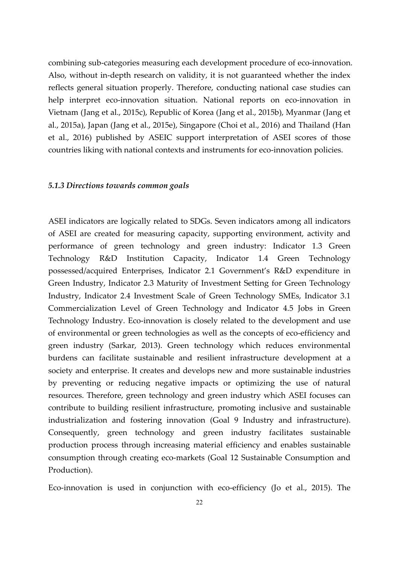combining sub-categories measuring each development procedure of eco-innovation. Also, without in‐depth research on validity, it is not guaranteed whether the index reflects general situation properly. Therefore, conducting national case studies can help interpret eco-innovation situation. National reports on eco-innovation in Vietnam (Jang et al., 2015c), Republic of Korea (Jang et al., 2015b), Myanmar (Jang et al., 2015a), Japan (Jang et al., 2015e), Singapore (Choi et al., 2016) and Thailand (Han et al., 2016) published by ASEIC support interpretation of ASEI scores of those countries liking with national contexts and instruments for eco‐innovation policies.

#### *5.1.3 Directions towards common goals*

ASEI indicators are logically related to SDGs. Seven indicators among all indicators of ASEI are created for measuring capacity, supporting environment, activity and performance of green technology and green industry: Indicator 1.3 Green Technology R&D Institution Capacity, Indicator 1.4 Green Technology possessed/acquired Enterprises, Indicator 2.1 Government's R&D expenditure in Green Industry, Indicator 2.3 Maturity of Investment Setting for Green Technology Industry, Indicator 2.4 Investment Scale of Green Technology SMEs, Indicator 3.1 Commercialization Level of Green Technology and Indicator 4.5 Jobs in Green Technology Industry. Eco-innovation is closely related to the development and use of environmental or green technologies as well as the concepts of eco‐efficiency and green industry (Sarkar, 2013). Green technology which reduces environmental burdens can facilitate sustainable and resilient infrastructure development at a society and enterprise. It creates and develops new and more sustainable industries by preventing or reducing negative impacts or optimizing the use of natural resources. Therefore, green technology and green industry which ASEI focuses can contribute to building resilient infrastructure, promoting inclusive and sustainable industrialization and fostering innovation (Goal 9 Industry and infrastructure). Consequently, green technology and green industry facilitates sustainable production process through increasing material efficiency and enables sustainable consumption through creating eco‐markets (Goal 12 Sustainable Consumption and Production).

Eco-innovation is used in conjunction with eco-efficiency (Jo et al., 2015). The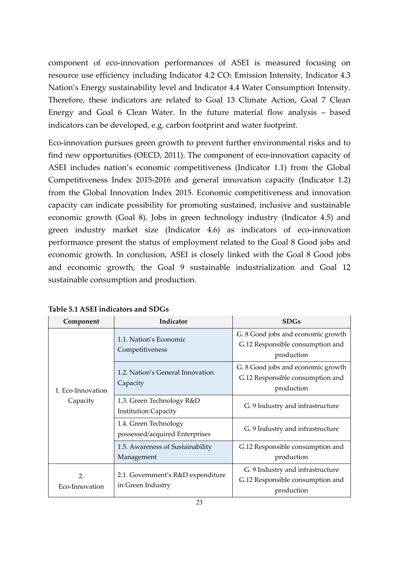component of eco-innovation performances of ASEI is measured focusing on resource use efficiency including Indicator 4.2 CO<sub>2</sub> Emission Intensity, Indicator 4.3 Nation's Energy sustainability level and Indicator 4.4 Water Consumption Intensity. Therefore, these indicators are related to Goal 13 Climate Action, Goal 7 Clean Energy and Goal 6 Clean Water. In the future material flow analysis – based indicators can be developed, e.g. carbon footprint and water footprint.

Eco‐innovation pursues green growth to prevent further environmental risks and to find new opportunities (OECD, 2011). The component of eco-innovation capacity of ASEI includes nation's economic competitiveness (Indicator 1.1) from the Global Competitiveness Index 2015‐2016 and general innovation capacity (Indicator 1.2) from the Global Innovation Index 2015. Economic competitiveness and innovation capacity can indicate possibility for promoting sustained, inclusive and sustainable economic growth (Goal 8). Jobs in green technology industry (Indicator 4.5) and green industry market size (Indicator 4.6) as indicators of eco-innovation performance present the status of employment related to the Goal 8 Good jobs and economic growth. In conclusion, ASEI is closely linked with the Goal 8 Good jobs and economic growth, the Goal 9 sustainable industrialization and Goal 12 sustainable consumption and production.

| Component                     | Indicator                                                | <b>SDGs</b>                                                                          |
|-------------------------------|----------------------------------------------------------|--------------------------------------------------------------------------------------|
| 1. Eco-Innovation<br>Capacity | 1.1. Nation's Economic<br>Competitiveness                | G. 8 Good jobs and economic growth<br>G.12 Responsible consumption and<br>production |
|                               | 1.2. Nation's General Innovation<br>Capacity             | G. 8 Good jobs and economic growth<br>G.12 Responsible consumption and<br>production |
|                               | 1.3. Green Technology R&D<br><b>Institution Capacity</b> | G. 9 Industry and infrastructure                                                     |
|                               | 1.4. Green Technology<br>possessed/acquired Enterprises  | G. 9 Industry and infrastructure                                                     |
|                               | 1.5. Awareness of Sustainability<br>Management           | G.12 Responsible consumption and<br>production                                       |
| 2.<br>Eco-Innovation          | 2.1. Government's R&D expenditure<br>in Green Industry   | G. 9 Industry and infrastructure<br>G.12 Responsible consumption and<br>production   |

**Table 5.1 ASEI indicators and SDGs**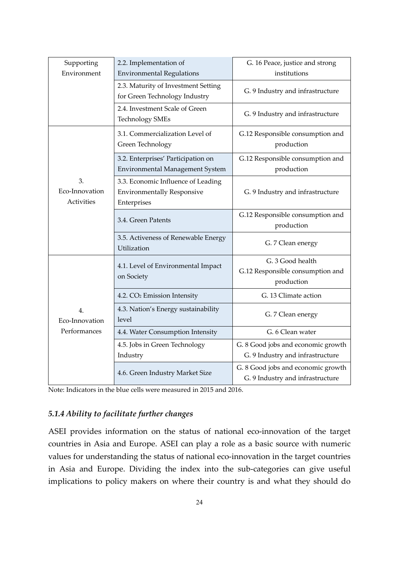| Supporting<br>Environment          | 2.2. Implementation of<br><b>Environmental Regulations</b>                             | G. 16 Peace, justice and strong<br>institutions                        |
|------------------------------------|----------------------------------------------------------------------------------------|------------------------------------------------------------------------|
|                                    | 2.3. Maturity of Investment Setting<br>for Green Technology Industry                   | G. 9 Industry and infrastructure                                       |
|                                    | 2.4. Investment Scale of Green<br><b>Technology SMEs</b>                               | G. 9 Industry and infrastructure                                       |
|                                    | 3.1. Commercialization Level of<br>Green Technology                                    | G.12 Responsible consumption and<br>production                         |
|                                    | 3.2. Enterprises' Participation on<br>Environmental Management System                  | G.12 Responsible consumption and<br>production                         |
| 3.<br>Eco-Innovation<br>Activities | 3.3. Economic Influence of Leading<br><b>Environmentally Responsive</b><br>Enterprises | G. 9 Industry and infrastructure                                       |
|                                    | 3.4. Green Patents                                                                     | G.12 Responsible consumption and<br>production                         |
|                                    | 3.5. Activeness of Renewable Energy<br>Utilization                                     | G. 7 Clean energy                                                      |
|                                    | 4.1. Level of Environmental Impact<br>on Society                                       | G. 3 Good health<br>G.12 Responsible consumption and<br>production     |
|                                    | 4.2. CO <sub>2</sub> Emission Intensity                                                | G. 13 Climate action                                                   |
| 4.<br>Eco-Innovation               | 4.3. Nation's Energy sustainability<br>level                                           | G. 7 Clean energy                                                      |
| Performances                       | 4.4. Water Consumption Intensity                                                       | G. 6 Clean water                                                       |
|                                    | 4.5. Jobs in Green Technology<br>Industry                                              | G. 8 Good jobs and economic growth<br>G. 9 Industry and infrastructure |
|                                    | 4.6. Green Industry Market Size                                                        | G. 8 Good jobs and economic growth<br>G. 9 Industry and infrastructure |

Note: Indicators in the blue cells were measured in 2015 and 2016.

### *5.1.4 Ability to facilitate further changes*

ASEI provides information on the status of national eco-innovation of the target countries in Asia and Europe. ASEI can play a role as a basic source with numeric values for understanding the status of national eco-innovation in the target countries in Asia and Europe. Dividing the index into the sub‐categories can give useful implications to policy makers on where their country is and what they should do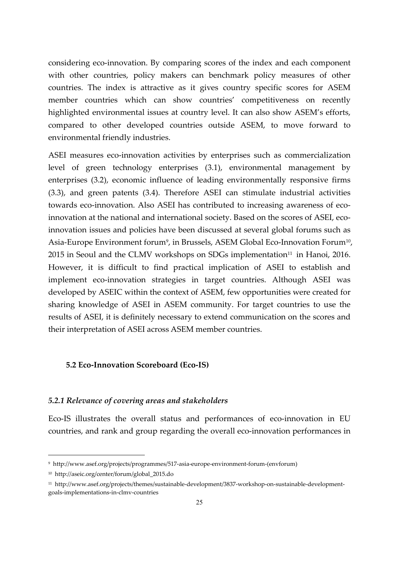considering eco‐innovation. By comparing scores of the index and each component with other countries, policy makers can benchmark policy measures of other countries. The index is attractive as it gives country specific scores for ASEM member countries which can show countries' competitiveness on recently highlighted environmental issues at country level. It can also show ASEM's efforts, compared to other developed countries outside ASEM, to move forward to environmental friendly industries.

ASEI measures eco-innovation activities by enterprises such as commercialization level of green technology enterprises (3.1), environmental management by enterprises (3.2), economic influence of leading environmentally responsive firms (3.3), and green patents (3.4). Therefore ASEI can stimulate industrial activities towards eco-innovation. Also ASEI has contributed to increasing awareness of ecoinnovation at the national and international society. Based on the scores of ASEI, ecoinnovation issues and policies have been discussed at several global forums such as Asia-Europe Environment forum<sup>9</sup>, in Brussels, ASEM Global Eco-Innovation Forum<sup>10</sup>,  $2015$  in Seoul and the CLMV workshops on SDGs implementation<sup>11</sup> in Hanoi, 2016. However, it is difficult to find practical implication of ASEI to establish and implement eco-innovation strategies in target countries. Although ASEI was developed by ASEIC within the context of ASEM, few opportunities were created for sharing knowledge of ASEI in ASEM community. For target countries to use the results of ASEI, it is definitely necessary to extend communication on the scores and their interpretation of ASEI across ASEM member countries.

#### **5.2 Eco‐Innovation Scoreboard (Eco‐IS)**

#### *5.2.1 Relevance of covering areas and stakeholders*

Eco‐IS illustrates the overall status and performances of eco‐innovation in EU countries, and rank and group regarding the overall eco-innovation performances in

-

<sup>9</sup> http://www.asef.org/projects/programmes/517‐asia‐europe‐environment‐forum‐(envforum)

<sup>10</sup> http://aseic.org/center/forum/global\_2015.do

<sup>11</sup> http://www.asef.org/projects/themes/sustainable‐development/3837‐workshop‐on‐sustainable‐development‐ goals‐implementations‐in‐clmv‐countries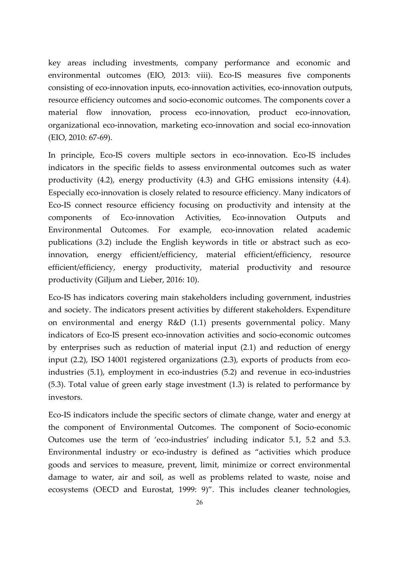key areas including investments, company performance and economic and environmental outcomes (EIO, 2013: viii). Eco-IS measures five components consisting of eco‐innovation inputs, eco‐innovation activities, eco‐innovation outputs, resource efficiency outcomes and socio‐economic outcomes. The components cover a material flow innovation, process eco-innovation, product eco-innovation, organizational eco‐innovation, marketing eco‐innovation and social eco‐innovation (EIO, 2010: 67‐69).

In principle, Eco‐IS covers multiple sectors in eco‐innovation. Eco‐IS includes indicators in the specific fields to assess environmental outcomes such as water productivity (4.2), energy productivity (4.3) and GHG emissions intensity (4.4). Especially eco-innovation is closely related to resource efficiency. Many indicators of Eco‐IS connect resource efficiency focusing on productivity and intensity at the components of Eco-innovation Activities, Eco-innovation Outputs and Environmental Outcomes. For example, eco-innovation related academic publications (3.2) include the English keywords in title or abstract such as ecoinnovation, energy efficient/efficiency, material efficient/efficiency, resource efficient/efficiency, energy productivity, material productivity and resource productivity (Giljum and Lieber, 2016: 10).

Eco‐IS has indicators covering main stakeholders including government, industries and society. The indicators present activities by different stakeholders. Expenditure on environmental and energy R&D (1.1) presents governmental policy. Many indicators of Eco‐IS present eco‐innovation activities and socio‐economic outcomes by enterprises such as reduction of material input (2.1) and reduction of energy input (2.2), ISO 14001 registered organizations (2.3), exports of products from ecoindustries (5.1), employment in eco-industries (5.2) and revenue in eco-industries (5.3). Total value of green early stage investment (1.3) is related to performance by investors.

Eco‐IS indicators include the specific sectors of climate change, water and energy at the component of Environmental Outcomes. The component of Socio‐economic Outcomes use the term of 'eco-industries' including indicator 5.1, 5.2 and 5.3. Environmental industry or eco-industry is defined as "activities which produce goods and services to measure, prevent, limit, minimize or correct environmental damage to water, air and soil, as well as problems related to waste, noise and ecosystems (OECD and Eurostat, 1999: 9)". This includes cleaner technologies,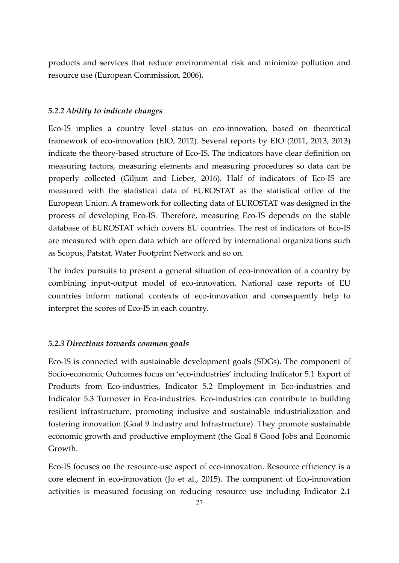products and services that reduce environmental risk and minimize pollution and resource use (European Commission, 2006).

#### *5.2.2 Ability to indicate changes*

Eco-IS implies a country level status on eco-innovation, based on theoretical framework of eco-innovation (EIO, 2012). Several reports by EIO (2011, 2013, 2013) indicate the theory‐based structure of Eco‐IS. The indicators have clear definition on measuring factors, measuring elements and measuring procedures so data can be properly collected (Giljum and Lieber, 2016). Half of indicators of Eco‐IS are measured with the statistical data of EUROSTAT as the statistical office of the European Union. A framework for collecting data of EUROSTAT was designed in the process of developing Eco‐IS. Therefore, measuring Eco‐IS depends on the stable database of EUROSTAT which covers EU countries. The rest of indicators of Eco‐IS are measured with open data which are offered by international organizations such as Scopus, Patstat, Water Footprint Network and so on.

The index pursuits to present a general situation of eco-innovation of a country by combining input-output model of eco-innovation. National case reports of EU countries inform national contexts of eco-innovation and consequently help to interpret the scores of Eco‐IS in each country.

#### *5.2.3 Directions towards common goals*

Eco‐IS is connected with sustainable development goals (SDGs). The component of Socio‐economic Outcomes focus on 'eco‐industries' including Indicator 5.1 Export of Products from Eco-industries, Indicator 5.2 Employment in Eco-industries and Indicator 5.3 Turnover in Eco-industries. Eco-industries can contribute to building resilient infrastructure, promoting inclusive and sustainable industrialization and fostering innovation (Goal 9 Industry and Infrastructure). They promote sustainable economic growth and productive employment (the Goal 8 Good Jobs and Economic Growth.

Eco‐IS focuses on the resource‐use aspect of eco‐innovation. Resource efficiency is a core element in eco-innovation (Jo et al., 2015). The component of Eco-innovation activities is measured focusing on reducing resource use including Indicator 2.1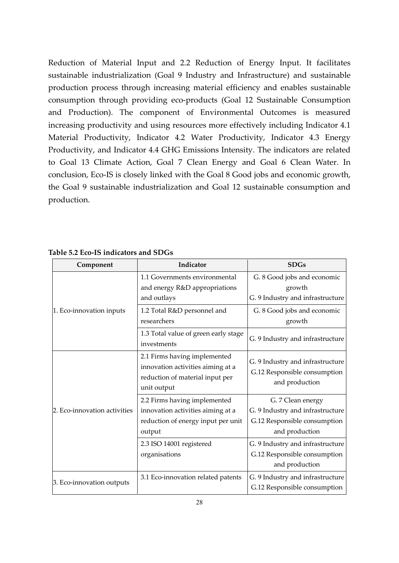Reduction of Material Input and 2.2 Reduction of Energy Input. It facilitates sustainable industrialization (Goal 9 Industry and Infrastructure) and sustainable production process through increasing material efficiency and enables sustainable consumption through providing eco‐products (Goal 12 Sustainable Consumption and Production). The component of Environmental Outcomes is measured increasing productivity and using resources more effectively including Indicator 4.1 Material Productivity, Indicator 4.2 Water Productivity, Indicator 4.3 Energy Productivity, and Indicator 4.4 GHG Emissions Intensity. The indicators are related to Goal 13 Climate Action, Goal 7 Clean Energy and Goal 6 Clean Water. In conclusion, Eco‐IS is closely linked with the Goal 8 Good jobs and economic growth, the Goal 9 sustainable industrialization and Goal 12 sustainable consumption and production.

|                          | Component                                                                     | Indicator                                                                                                           | <b>SDGs</b>                                                                                             |
|--------------------------|-------------------------------------------------------------------------------|---------------------------------------------------------------------------------------------------------------------|---------------------------------------------------------------------------------------------------------|
| 1. Eco-innovation inputs | 1.1 Governments environmental<br>and energy R&D appropriations<br>and outlays | G. 8 Good jobs and economic<br>growth<br>G. 9 Industry and infrastructure                                           |                                                                                                         |
|                          |                                                                               | 1.2 Total R&D personnel and<br>researchers                                                                          | G. 8 Good jobs and economic<br>growth                                                                   |
|                          |                                                                               | 1.3 Total value of green early stage<br>investments                                                                 | G. 9 Industry and infrastructure                                                                        |
|                          |                                                                               | 2.1 Firms having implemented<br>innovation activities aiming at a<br>reduction of material input per<br>unit output | G. 9 Industry and infrastructure<br>G.12 Responsible consumption<br>and production                      |
|                          | 2. Eco-innovation activities                                                  | 2.2 Firms having implemented<br>innovation activities aiming at a<br>reduction of energy input per unit<br>output   | G. 7 Clean energy<br>G. 9 Industry and infrastructure<br>G.12 Responsible consumption<br>and production |
|                          |                                                                               | 2.3 ISO 14001 registered<br>organisations                                                                           | G. 9 Industry and infrastructure<br>G.12 Responsible consumption<br>and production                      |
|                          | 3. Eco-innovation outputs                                                     | 3.1 Eco-innovation related patents                                                                                  | G. 9 Industry and infrastructure<br>G.12 Responsible consumption                                        |

## **Table 5.2 Eco‐IS indicators and SDGs**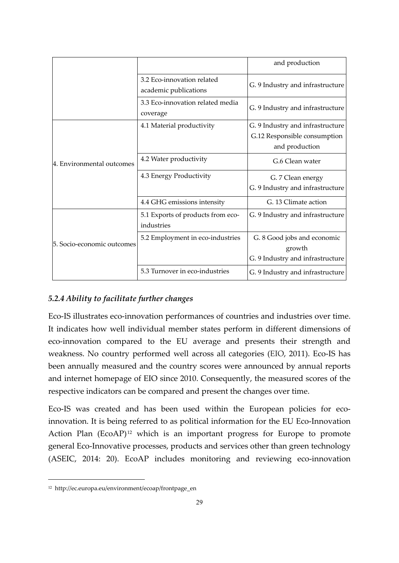|                            |                                                     | and production                                                                     |
|----------------------------|-----------------------------------------------------|------------------------------------------------------------------------------------|
|                            | 3.2 Eco-innovation related<br>academic publications | G. 9 Industry and infrastructure                                                   |
|                            | 3.3 Eco-innovation related media<br>coverage        | G. 9 Industry and infrastructure                                                   |
|                            | 4.1 Material productivity                           | G. 9 Industry and infrastructure<br>G.12 Responsible consumption<br>and production |
| 4. Environmental outcomes  | 4.2 Water productivity                              | G.6 Clean water                                                                    |
|                            | 4.3 Energy Productivity                             | G. 7 Clean energy<br>G. 9 Industry and infrastructure                              |
|                            | 4.4 GHG emissions intensity                         | G. 13 Climate action                                                               |
| 5. Socio-economic outcomes | 5.1 Exports of products from eco-<br>industries     | G. 9 Industry and infrastructure                                                   |
|                            | 5.2 Employment in eco-industries                    | G. 8 Good jobs and economic<br>growth<br>G. 9 Industry and infrastructure          |
|                            | 5.3 Turnover in eco-industries                      | G. 9 Industry and infrastructure                                                   |

## *5.2.4 Ability to facilitate further changes*

Eco‐IS illustrates eco‐innovation performances of countries and industries over time. It indicates how well individual member states perform in different dimensions of eco‐innovation compared to the EU average and presents their strength and weakness. No country performed well across all categories (EIO, 2011). Eco-IS has been annually measured and the country scores were announced by annual reports and internet homepage of EIO since 2010. Consequently, the measured scores of the respective indicators can be compared and present the changes over time.

Eco-IS was created and has been used within the European policies for ecoinnovation. It is being referred to as political information for the EU Eco-Innovation Action Plan  $(EcoAP)^{12}$  which is an important progress for Europe to promote general Eco‐Innovative processes, products and services other than green technology (ASEIC, 2014: 20). EcoAP includes monitoring and reviewing eco‐innovation

-

<sup>12</sup> http://ec.europa.eu/environment/ecoap/frontpage\_en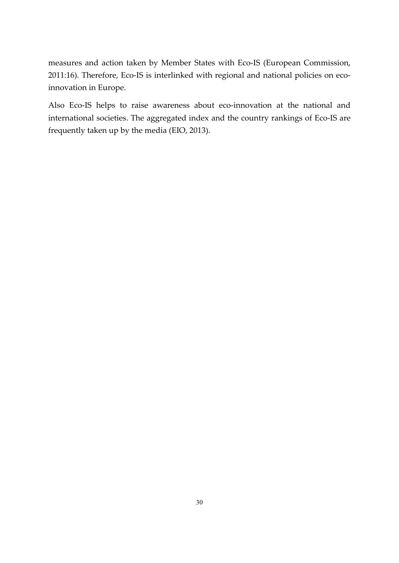measures and action taken by Member States with Eco‐IS (European Commission, 2011:16). Therefore, Eco-IS is interlinked with regional and national policies on ecoinnovation in Europe.

Also Eco-IS helps to raise awareness about eco-innovation at the national and international societies. The aggregated index and the country rankings of Eco‐IS are frequently taken up by the media (EIO, 2013).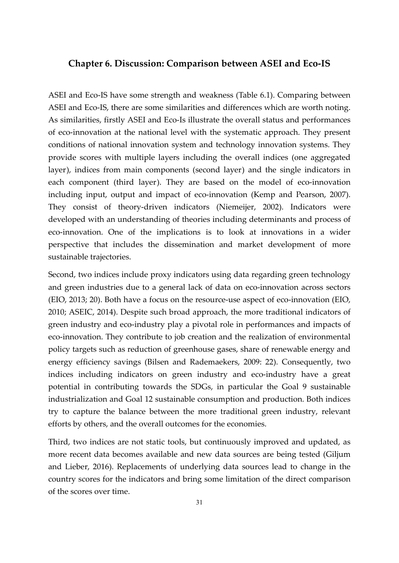### **Chapter 6. Discussion: Comparison between ASEI and Eco‐IS**

ASEI and Eco-IS have some strength and weakness (Table 6.1). Comparing between ASEI and Eco‐IS, there are some similarities and differences which are worth noting. As similarities, firstly ASEI and Eco‐Is illustrate the overall status and performances of eco‐innovation at the national level with the systematic approach. They present conditions of national innovation system and technology innovation systems. They provide scores with multiple layers including the overall indices (one aggregated layer), indices from main components (second layer) and the single indicators in each component (third layer). They are based on the model of eco-innovation including input, output and impact of eco-innovation (Kemp and Pearson, 2007). They consist of theory-driven indicators (Niemeijer, 2002). Indicators were developed with an understanding of theories including determinants and process of eco‐innovation. One of the implications is to look at innovations in a wider perspective that includes the dissemination and market development of more sustainable trajectories.

Second, two indices include proxy indicators using data regarding green technology and green industries due to a general lack of data on eco-innovation across sectors (EIO, 2013; 20). Both have a focus on the resource‐use aspect of eco‐innovation (EIO, 2010; ASEIC, 2014). Despite such broad approach, the more traditional indicators of green industry and eco‐industry play a pivotal role in performances and impacts of eco-innovation. They contribute to job creation and the realization of environmental policy targets such as reduction of greenhouse gases, share of renewable energy and energy efficiency savings (Bilsen and Rademaekers, 2009: 22). Consequently, two indices including indicators on green industry and eco-industry have a great potential in contributing towards the SDGs, in particular the Goal 9 sustainable industrialization and Goal 12 sustainable consumption and production. Both indices try to capture the balance between the more traditional green industry, relevant efforts by others, and the overall outcomes for the economies.

Third, two indices are not static tools, but continuously improved and updated, as more recent data becomes available and new data sources are being tested (Giljum and Lieber, 2016). Replacements of underlying data sources lead to change in the country scores for the indicators and bring some limitation of the direct comparison of the scores over time.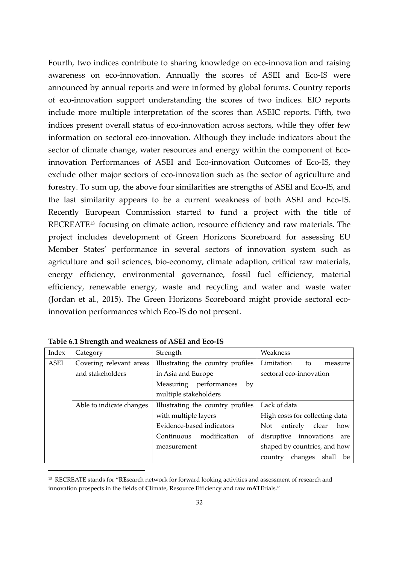Fourth, two indices contribute to sharing knowledge on eco-innovation and raising awareness on eco-innovation. Annually the scores of ASEI and Eco-IS were announced by annual reports and were informed by global forums. Country reports of eco‐innovation support understanding the scores of two indices. EIO reports include more multiple interpretation of the scores than ASEIC reports. Fifth, two indices present overall status of eco-innovation across sectors, while they offer few information on sectoral eco-innovation. Although they include indicators about the sector of climate change, water resources and energy within the component of Ecoinnovation Performances of ASEI and Eco-innovation Outcomes of Eco-IS, they exclude other major sectors of eco-innovation such as the sector of agriculture and forestry. To sum up, the above four similarities are strengths of ASEI and Eco‐IS, and the last similarity appears to be a current weakness of both ASEI and Eco‐IS. Recently European Commission started to fund a project with the title of RECREATE13 focusing on climate action, resource efficiency and raw materials. The project includes development of Green Horizons Scoreboard for assessing EU Member States' performance in several sectors of innovation system such as agriculture and soil sciences, bio‐economy, climate adaption, critical raw materials, energy efficiency, environmental governance, fossil fuel efficiency, material efficiency, renewable energy, waste and recycling and water and waste water (Jordan et al., 2015). The Green Horizons Scoreboard might provide sectoral eco‐ innovation performances which Eco‐IS do not present.

| Index | Category                 | Strength                          | Weakness                          |
|-------|--------------------------|-----------------------------------|-----------------------------------|
| ASEI  | Covering relevant areas  | Illustrating the country profiles | Limitation<br>to<br>measure       |
|       | and stakeholders         | in Asia and Europe                | sectoral eco-innovation           |
|       |                          | Measuring<br>performances<br>by   |                                   |
|       |                          | multiple stakeholders             |                                   |
|       | Able to indicate changes | Illustrating the country profiles | Lack of data                      |
|       |                          | with multiple layers              | High costs for collecting data    |
|       |                          | Evidence-based indicators         | entirely clear<br>Not<br>how      |
|       |                          | Continuous<br>modification<br>οf  | disruptive innovations are        |
|       |                          | measurement                       | shaped by countries, and how      |
|       |                          |                                   | shall<br>changes<br>be<br>country |

**Table 6.1 Strength and weakness of ASEI and Eco‐IS**

-

<sup>13</sup> RECREATE stands for "**RE**search network for forward looking activities and assessment of research and innovation prospects in the fields of **C**limate, **R**esource **E**fficiency and raw m**ATE**rials."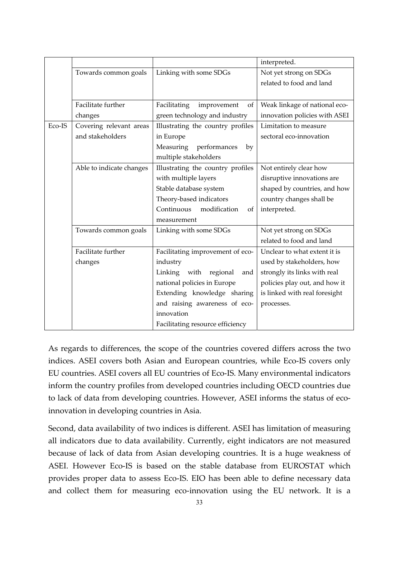|        |                          |                                    | interpreted.                  |
|--------|--------------------------|------------------------------------|-------------------------------|
|        | Towards common goals     | Linking with some SDGs             | Not yet strong on SDGs        |
|        |                          |                                    | related to food and land      |
|        |                          |                                    |                               |
|        | Facilitate further       | Facilitating<br>improvement<br>of  | Weak linkage of national eco- |
|        | changes                  | green technology and industry      | innovation policies with ASEI |
| Eco-IS | Covering relevant areas  | Illustrating the country profiles  | Limitation to measure         |
|        | and stakeholders         | in Europe                          | sectoral eco-innovation       |
|        |                          | Measuring<br>performances<br>by    |                               |
|        |                          | multiple stakeholders              |                               |
|        | Able to indicate changes | Illustrating the country profiles  | Not entirely clear how        |
|        |                          | with multiple layers               | disruptive innovations are    |
|        |                          | Stable database system             | shaped by countries, and how  |
|        |                          | Theory-based indicators            | country changes shall be      |
|        |                          | Continuous<br>modification<br>of   | interpreted.                  |
|        |                          | measurement                        |                               |
|        | Towards common goals     | Linking with some SDGs             | Not yet strong on SDGs        |
|        |                          |                                    | related to food and land      |
|        | Facilitate further       | Facilitating improvement of eco-   | Unclear to what extent it is  |
|        | changes                  | industry                           | used by stakeholders, how     |
|        |                          | Linking<br>with<br>regional<br>and | strongly its links with real  |
|        |                          | national policies in Europe        | policies play out, and how it |
|        |                          | Extending knowledge sharing        | is linked with real foresight |
|        |                          | and raising awareness of eco-      | processes.                    |
|        |                          | innovation                         |                               |
|        |                          | Facilitating resource efficiency   |                               |

As regards to differences, the scope of the countries covered differs across the two indices. ASEI covers both Asian and European countries, while Eco‐IS covers only EU countries. ASEI covers all EU countries of Eco‐IS. Many environmental indicators inform the country profiles from developed countries including OECD countries due to lack of data from developing countries. However, ASEI informs the status of ecoinnovation in developing countries in Asia.

Second, data availability of two indices is different. ASEI has limitation of measuring all indicators due to data availability. Currently, eight indicators are not measured because of lack of data from Asian developing countries. It is a huge weakness of ASEI. However Eco‐IS is based on the stable database from EUROSTAT which provides proper data to assess Eco‐IS. EIO has been able to define necessary data and collect them for measuring eco-innovation using the EU network. It is a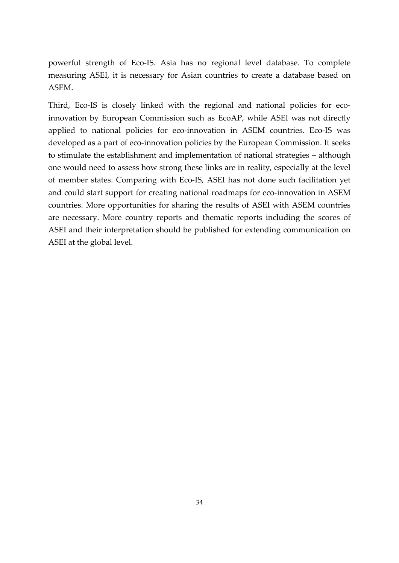powerful strength of Eco‐IS. Asia has no regional level database. To complete measuring ASEI, it is necessary for Asian countries to create a database based on ASEM.

Third, Eco-IS is closely linked with the regional and national policies for ecoinnovation by European Commission such as EcoAP, while ASEI was not directly applied to national policies for eco-innovation in ASEM countries. Eco-IS was developed as a part of eco-innovation policies by the European Commission. It seeks to stimulate the establishment and implementation of national strategies – although one would need to assess how strong these links are in reality, especially at the level of member states. Comparing with Eco‐IS, ASEI has not done such facilitation yet and could start support for creating national roadmaps for eco-innovation in ASEM countries. More opportunities for sharing the results of ASEI with ASEM countries are necessary. More country reports and thematic reports including the scores of ASEI and their interpretation should be published for extending communication on ASEI at the global level.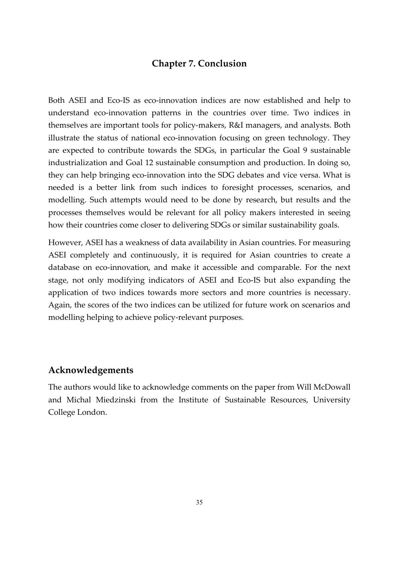## **Chapter 7. Conclusion**

Both ASEI and Eco‐IS as eco‐innovation indices are now established and help to understand eco-innovation patterns in the countries over time. Two indices in themselves are important tools for policy‐makers, R&I managers, and analysts. Both illustrate the status of national eco-innovation focusing on green technology. They are expected to contribute towards the SDGs, in particular the Goal 9 sustainable industrialization and Goal 12 sustainable consumption and production. In doing so, they can help bringing eco‐innovation into the SDG debates and vice versa. What is needed is a better link from such indices to foresight processes, scenarios, and modelling. Such attempts would need to be done by research, but results and the processes themselves would be relevant for all policy makers interested in seeing how their countries come closer to delivering SDGs or similar sustainability goals.

However, ASEI has a weakness of data availability in Asian countries. For measuring ASEI completely and continuously, it is required for Asian countries to create a database on eco‐innovation, and make it accessible and comparable. For the next stage, not only modifying indicators of ASEI and Eco‐IS but also expanding the application of two indices towards more sectors and more countries is necessary. Again, the scores of the two indices can be utilized for future work on scenarios and modelling helping to achieve policy‐relevant purposes.

### **Acknowledgements**

The authors would like to acknowledge comments on the paper from Will McDowall and Michal Miedzinski from the Institute of Sustainable Resources, University College London.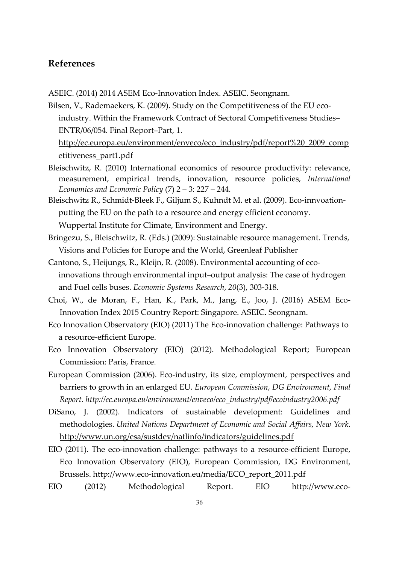## **References**

ASEIC. (2014) 2014 ASEM Eco‐Innovation Index. ASEIC. Seongnam.

Bilsen, V., Rademaekers, K. (2009). Study on the Competitiveness of the EU ecoindustry. Within the Framework Contract of Sectoral Competitiveness Studies– ENTR/06/054. Final Report–Part, 1. http://ec.europa.eu/environment/enveco/eco\_industry/pdf/report%20\_2009\_comp etitiveness\_part1.pdf

- Bleischwitz, R. (2010) International economics of resource productivity: relevance, measurement, empirical trends, innovation, resource policies, *International Economics and Economic Policy* (7) 2 – 3: 227 – 244.
- Bleischwitz R., Schmidt-Bleek F., Giljum S., Kuhndt M. et al. (2009). Eco-innvoationputting the EU on the path to a resource and energy efficient economy. Wuppertal Institute for Climate, Environment and Energy.
- Bringezu, S., Bleischwitz, R. (Eds.) (2009): Sustainable resource management. Trends, Visions and Policies for Europe and the World, Greenleaf Publisher
- Cantono, S., Heijungs, R., Kleijn, R. (2008). Environmental accounting of eco‐ innovations through environmental input–output analysis: The case of hydrogen and Fuel cells buses. *Economic Systems Research*, *20*(3), 303‐318.
- Choi, W., de Moran, F., Han, K., Park, M., Jang, E., Joo, J. (2016) ASEM Eco‐ Innovation Index 2015 Country Report: Singapore. ASEIC. Seongnam.
- Eco Innovation Observatory (EIO) (2011) The Eco-innovation challenge: Pathways to a resource‐efficient Europe.
- Eco Innovation Observatory (EIO) (2012). Methodological Report; European Commission: Paris, France.
- European Commission (2006). Eco-industry, its size, employment, perspectives and barriers to growth in an enlarged EU. *European Commission, DG Environment, Final Report. http://ec.europa.eu/environment/enveco/eco\_industry/pdf/ecoindustry2006.pdf*
- DiSano, J. (2002). Indicators of sustainable development: Guidelines and methodologies. *United Nations Department of Economic and Social Affairs, New York*. http://www.un.org/esa/sustdev/natlinfo/indicators/guidelines.pdf
- EIO (2011). The eco-innovation challenge: pathways to a resource-efficient Europe, Eco Innovation Observatory (EIO), European Commission, DG Environment, Brussels. http://www.eco‐innovation.eu/media/ECO\_report\_2011.pdf
- EIO (2012) Methodological Report. EIO http://www.eco-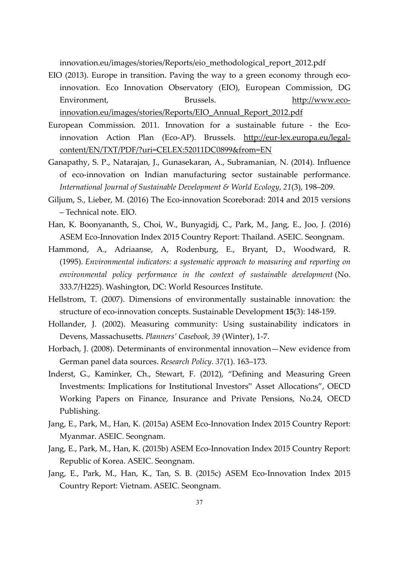innovation.eu/images/stories/Reports/eio\_methodological\_report\_2012.pdf

- EIO (2013). Europe in transition. Paving the way to a green economy through ecoinnovation. Eco Innovation Observatory (EIO), European Commission, DG Environment, Brussels. http://www.eco‐ innovation.eu/images/stories/Reports/EIO\_Annual\_Report\_2012.pdf
- European Commission. 2011. Innovation for a sustainable future ‐ the Eco‐ innovation Action Plan (Eco-AP). Brussels. http://eur-lex.europa.eu/legalcontent/EN/TXT/PDF/?uri=CELEX:52011DC0899&from=EN
- Ganapathy, S. P., Natarajan, J., Gunasekaran, A., Subramanian, N. (2014). Influence of eco‐innovation on Indian manufacturing sector sustainable performance. *International Journal of Sustainable Development & World Ecology*, *21*(3), 198–209.
- Giljum, S., Lieber, M. (2016) The Eco‐innovation Scoreborad: 2014 and 2015 versions – Technical note. EIO.
- Han, K. Boonyananth, S., Choi, W., Bunyagidj, C., Park, M., Jang, E., Joo, J. (2016) ASEM Eco‐Innovation Index 2015 Country Report: Thailand. ASEIC. Seongnam.
- Hammond, A., Adriaanse, A, Rodenburg, E., Bryant, D., Woodward, R. (1995). *Environmental indicators: a systematic approach to measuring and reporting on environmental policy performance in the context of sustainable development* (No. 333.7/H225). Washington, DC: World Resources Institute.
- Hellstrom, T. (2007). Dimensions of environmentally sustainable innovation: the structure of eco‐innovation concepts. Sustainable Development **15**(3): 148‐159.
- Hollander, J. (2002). Measuring community: Using sustainability indicators in Devens, Massachusetts. *Planners' Casebook*, *39* (Winter), 1‐7.
- Horbach, J. (2008). Determinants of environmental innovation—New evidence from German panel data sources. *Research Policy*. *37*(1). 163–173.
- Inderst, G., Kaminker, Ch., Stewart, F. (2012), "Defining and Measuring Green Investments: Implications for Institutional Investors" Asset Allocations", OECD Working Papers on Finance, Insurance and Private Pensions, No.24, OECD Publishing.
- Jang, E., Park, M., Han, K. (2015a) ASEM Eco‐Innovation Index 2015 Country Report: Myanmar. ASEIC. Seongnam.
- Jang, E., Park, M., Han, K. (2015b) ASEM Eco‐Innovation Index 2015 Country Report: Republic of Korea. ASEIC. Seongnam.
- Jang, E., Park, M., Han, K., Tan, S. B. (2015c) ASEM Eco‐Innovation Index 2015 Country Report: Vietnam. ASEIC. Seongnam.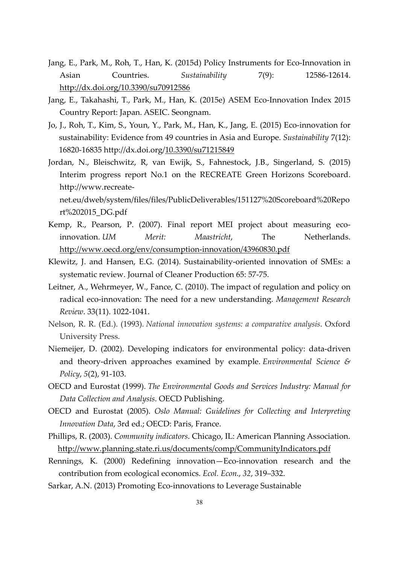- Jang, E., Park, M., Roh, T., Han, K. (2015d) Policy Instruments for Eco‐Innovation in Asian Countries. *Sustainability* 7(9): 12586‐12614. http://dx.doi.org/10.3390/su70912586
- Jang, E., Takahashi, T., Park, M., Han, K. (2015e) ASEM Eco‐Innovation Index 2015 Country Report: Japan. ASEIC. Seongnam.
- Jo, J., Roh, T., Kim, S., Youn, Y., Park, M., Han, K., Jang, E. (2015) Eco‐innovation for sustainability: Evidence from 49 countries in Asia and Europe. *Sustainability* 7(12): 16820‐16835 http://dx.doi.org/10.3390/su71215849
- Jordan, N., Bleischwitz, R, van Ewijk, S., Fahnestock, J.B., Singerland, S. (2015) Interim progress report No.1 on the RECREATE Green Horizons Scoreboard. http://www.recreate‐

net.eu/dweb/system/files/files/PublicDeliverables/151127%20Scoreboard%20Repo rt%202015\_DG.pdf

- Kemp, R., Pearson, P. (2007). Final report MEI project about measuring ecoinnovation. *UM Merit: Maastricht*, The Netherlands. http://www.oecd.org/env/consumption‐innovation/43960830.pdf
- Klewitz, J. and Hansen, E.G. (2014). Sustainability‐oriented innovation of SMEs: a systematic review. Journal of Cleaner Production 65: 57‐75.
- Leitner, A., Wehrmeyer, W., Fance, C. (2010). The impact of regulation and policy on radical eco‐innovation: The need for a new understanding. *Management Research Review*. 33(11). 1022‐1041.
- Nelson, R. R. (Ed.). (1993). *National innovation systems: a comparative analysis*. Oxford University Press.
- Niemeijer, D. (2002). Developing indicators for environmental policy: data‐driven and theory‐driven approaches examined by example. *Environmental Science & Policy*, *5*(2), 91‐103.
- OECD and Eurostat (1999). *The Environmental Goods and Services Industry: Manual for Data Collection and Analysis*. OECD Publishing.
- OECD and Eurostat (2005). *Oslo Manual: Guidelines for Collecting and Interpreting Innovation Data*, 3rd ed.; OECD: Paris, France.
- Phillips, R. (2003). *Community indicators*. Chicago, IL: American Planning Association. http://www.planning.state.ri.us/documents/comp/CommunityIndicators.pdf
- Rennings, K. (2000) Redefining innovation—Eco‐innovation research and the contribution from ecological economics. *Ecol. Econ.*, *32*, 319–332.
- Sarkar, A.N. (2013) Promoting Eco-innovations to Leverage Sustainable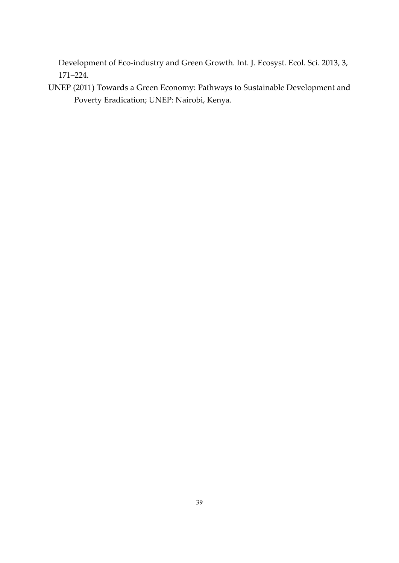Development of Eco-industry and Green Growth. Int. J. Ecosyst. Ecol. Sci. 2013, 3, 171–224.

UNEP (2011) Towards a Green Economy: Pathways to Sustainable Development and Poverty Eradication; UNEP: Nairobi, Kenya.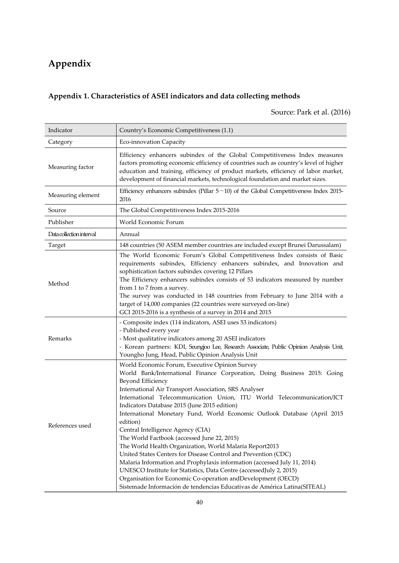## **Appendix**

## **Appendix 1. Characteristics of ASEI indicators and data collecting methods**

## Source: Park et al. (2016)

| Indicator                | Country's Economic Competitiveness (1.1)                                                                                                                                                                                                                                                                                                                                                                                                                                                                                                                                                                                                                                                                                                                                                                                                                                                                                                    |
|--------------------------|---------------------------------------------------------------------------------------------------------------------------------------------------------------------------------------------------------------------------------------------------------------------------------------------------------------------------------------------------------------------------------------------------------------------------------------------------------------------------------------------------------------------------------------------------------------------------------------------------------------------------------------------------------------------------------------------------------------------------------------------------------------------------------------------------------------------------------------------------------------------------------------------------------------------------------------------|
| Category                 | Eco-innovation Capacity                                                                                                                                                                                                                                                                                                                                                                                                                                                                                                                                                                                                                                                                                                                                                                                                                                                                                                                     |
| Measuring factor         | Efficiency enhancers subindex of the Global Competitiveness Index measures<br>factors promoting economic efficiency of countries such as country's level of higher<br>education and training, efficiency of product markets, efficiency of labor market,<br>development of financial markets, technological foundation and market sizes.                                                                                                                                                                                                                                                                                                                                                                                                                                                                                                                                                                                                    |
| Measuring element        | Efficiency enhancers subindex (Pillar $5 \sim 10$ ) of the Global Competitiveness Index 2015-<br>2016                                                                                                                                                                                                                                                                                                                                                                                                                                                                                                                                                                                                                                                                                                                                                                                                                                       |
| Source                   | The Global Competitiveness Index 2015-2016                                                                                                                                                                                                                                                                                                                                                                                                                                                                                                                                                                                                                                                                                                                                                                                                                                                                                                  |
| Publisher                | World Economic Forum                                                                                                                                                                                                                                                                                                                                                                                                                                                                                                                                                                                                                                                                                                                                                                                                                                                                                                                        |
| Data collection interval | Annual                                                                                                                                                                                                                                                                                                                                                                                                                                                                                                                                                                                                                                                                                                                                                                                                                                                                                                                                      |
| Target                   | 148 countries (50 ASEM member countries are included except Brunei Darussalam)                                                                                                                                                                                                                                                                                                                                                                                                                                                                                                                                                                                                                                                                                                                                                                                                                                                              |
| Method                   | The World Economic Forum's Global Competitiveness Index consists of Basic<br>requirements subindex, Efficiency enhancers subindex, and Innovation and<br>sophistication factors subindex covering 12 Pillars<br>The Efficiency enhancers subindex consists of 53 indicators measured by number<br>from 1 to 7 from a survey.<br>The survey was conducted in 148 countries from February to June 2014 with a<br>target of 14,000 companies (22 countries were surveyed on-line)<br>GCI 2015-2016 is a synthesis of a survey in 2014 and 2015                                                                                                                                                                                                                                                                                                                                                                                                 |
| Remarks                  | - Composite index (114 indicators, ASEI uses 53 indicators)<br>- Published every year<br>- Most qualitative indicators among 20 ASEI indicators<br>- Korean partners: KDI, Seungjoo Lee, Research Associate, Public Opinion Analysis Unit,<br>Youngho Jung, Head, Public Opinion Analysis Unit                                                                                                                                                                                                                                                                                                                                                                                                                                                                                                                                                                                                                                              |
| References used          | World Economic Forum, Executive Opinion Survey<br>World Bank/International Finance Corporation, Doing Business 2015: Going<br>Beyond Efficiency<br>International Air Transport Association, SRS Analyser<br>International Telecommunication Union, ITU World Telecommunication/ICT<br>Indicators Database 2015 (June 2015 edition)<br>International Monetary Fund, World Economic Outlook Database (April 2015<br>edition)<br>Central Intelligence Agency (CIA)<br>The World Factbook (accessed June 22, 2015)<br>The World Health Organization, World Malaria Report2013<br>United States Centers for Disease Control and Prevention (CDC)<br>Malaria Information and Prophylaxis information (accessed July 11, 2014)<br>UNESCO Institute for Statistics, Data Centre (accessedJuly 2, 2015)<br>Organisation for Economic Co-operation and Development (OECD)<br>Sistemade Información de tendencias Educativas de América Latina(SITEAL) |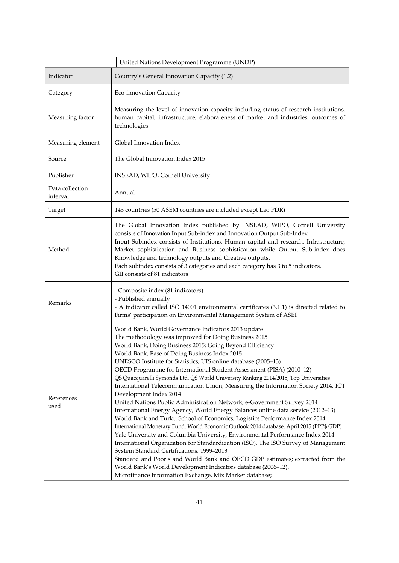|                             | United Nations Development Programme (UNDP)                                                                                                                                                                                                                                                                                                                                                                                                                                                                                                                                                                                                                                                                                                                                                                                                                                                                                                                                                                                                                                                                                                                                                                                                                                                                                                          |
|-----------------------------|------------------------------------------------------------------------------------------------------------------------------------------------------------------------------------------------------------------------------------------------------------------------------------------------------------------------------------------------------------------------------------------------------------------------------------------------------------------------------------------------------------------------------------------------------------------------------------------------------------------------------------------------------------------------------------------------------------------------------------------------------------------------------------------------------------------------------------------------------------------------------------------------------------------------------------------------------------------------------------------------------------------------------------------------------------------------------------------------------------------------------------------------------------------------------------------------------------------------------------------------------------------------------------------------------------------------------------------------------|
| Indicator                   | Country's General Innovation Capacity (1.2)                                                                                                                                                                                                                                                                                                                                                                                                                                                                                                                                                                                                                                                                                                                                                                                                                                                                                                                                                                                                                                                                                                                                                                                                                                                                                                          |
| Category                    | Eco-innovation Capacity                                                                                                                                                                                                                                                                                                                                                                                                                                                                                                                                                                                                                                                                                                                                                                                                                                                                                                                                                                                                                                                                                                                                                                                                                                                                                                                              |
| Measuring factor            | Measuring the level of innovation capacity including status of research institutions,<br>human capital, infrastructure, elaborateness of market and industries, outcomes of<br>technologies                                                                                                                                                                                                                                                                                                                                                                                                                                                                                                                                                                                                                                                                                                                                                                                                                                                                                                                                                                                                                                                                                                                                                          |
| Measuring element           | Global Innovation Index                                                                                                                                                                                                                                                                                                                                                                                                                                                                                                                                                                                                                                                                                                                                                                                                                                                                                                                                                                                                                                                                                                                                                                                                                                                                                                                              |
| Source                      | The Global Innovation Index 2015                                                                                                                                                                                                                                                                                                                                                                                                                                                                                                                                                                                                                                                                                                                                                                                                                                                                                                                                                                                                                                                                                                                                                                                                                                                                                                                     |
| Publisher                   | INSEAD, WIPO, Cornell University                                                                                                                                                                                                                                                                                                                                                                                                                                                                                                                                                                                                                                                                                                                                                                                                                                                                                                                                                                                                                                                                                                                                                                                                                                                                                                                     |
| Data collection<br>interval | Annual                                                                                                                                                                                                                                                                                                                                                                                                                                                                                                                                                                                                                                                                                                                                                                                                                                                                                                                                                                                                                                                                                                                                                                                                                                                                                                                                               |
| Target                      | 143 countries (50 ASEM countries are included except Lao PDR)                                                                                                                                                                                                                                                                                                                                                                                                                                                                                                                                                                                                                                                                                                                                                                                                                                                                                                                                                                                                                                                                                                                                                                                                                                                                                        |
| Method                      | The Global Innovation Index published by INSEAD, WIPO, Cornell University<br>consists of Innovation Input Sub-index and Innovation Output Sub-Index<br>Input Subindex consists of Institutions, Human capital and research, Infrastructure,<br>Market sophistication and Business sophistication while Output Sub-index does<br>Knowledge and technology outputs and Creative outputs.<br>Each subindex consists of 3 categories and each category has 3 to 5 indicators.<br>GII consists of 81 indicators                                                                                                                                                                                                                                                                                                                                                                                                                                                                                                                                                                                                                                                                                                                                                                                                                                           |
| Remarks                     | - Composite index (81 indicators)<br>- Published annually<br>- A indicator called ISO 14001 environmental certificates (3.1.1) is directed related to<br>Firms' participation on Environmental Management System of ASEI                                                                                                                                                                                                                                                                                                                                                                                                                                                                                                                                                                                                                                                                                                                                                                                                                                                                                                                                                                                                                                                                                                                             |
| References<br>used          | World Bank, World Governance Indicators 2013 update<br>The methodology was improved for Doing Business 2015<br>World Bank, Doing Business 2015: Going Beyond Efficiency<br>World Bank, Ease of Doing Business Index 2015<br>UNESCO Institute for Statistics, UIS online database (2005-13)<br>OECD Programme for International Student Assessment (PISA) (2010-12)<br>QS Quacquarelli Symonds Ltd, QS World University Ranking 2014/2015, Top Universities<br>International Telecommunication Union, Measuring the Information Society 2014, ICT<br>Development Index 2014<br>United Nations Public Administration Network, e-Government Survey 2014<br>International Energy Agency, World Energy Balances online data service (2012-13)<br>World Bank and Turku School of Economics, Logistics Performance Index 2014<br>International Monetary Fund, World Economic Outlook 2014 database, April 2015 (PPP\$ GDP)<br>Yale University and Columbia University, Environmental Performance Index 2014<br>International Organization for Standardization (ISO), The ISO Survey of Management<br>System Standard Certifications, 1999-2013<br>Standard and Poor's and World Bank and OECD GDP estimates; extracted from the<br>World Bank's World Development Indicators database (2006-12).<br>Microfinance Information Exchange, Mix Market database; |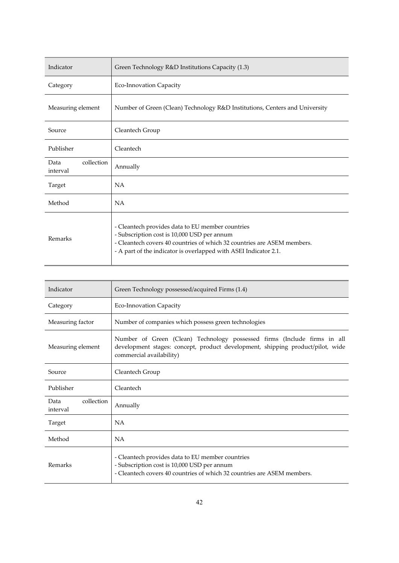| Indicator                      | Green Technology R&D Institutions Capacity (1.3)                                                                                                                                                                                               |
|--------------------------------|------------------------------------------------------------------------------------------------------------------------------------------------------------------------------------------------------------------------------------------------|
| Category                       | Eco-Innovation Capacity                                                                                                                                                                                                                        |
| Measuring element              | Number of Green (Clean) Technology R&D Institutions, Centers and University                                                                                                                                                                    |
| Source                         | Cleantech Group                                                                                                                                                                                                                                |
| Publisher                      | Cleantech                                                                                                                                                                                                                                      |
| collection<br>Data<br>interval | Annually                                                                                                                                                                                                                                       |
| Target                         | NA                                                                                                                                                                                                                                             |
| Method                         | <b>NA</b>                                                                                                                                                                                                                                      |
| Remarks                        | - Cleantech provides data to EU member countries<br>- Subscription cost is 10,000 USD per annum<br>- Cleantech covers 40 countries of which 32 countries are ASEM members.<br>- A part of the indicator is overlapped with ASEI Indicator 2.1. |

| Indicator                      | Green Technology possessed/acquired Firms (1.4)                                                                                                                                        |
|--------------------------------|----------------------------------------------------------------------------------------------------------------------------------------------------------------------------------------|
| Category                       | Eco-Innovation Capacity                                                                                                                                                                |
| Measuring factor               | Number of companies which possess green technologies                                                                                                                                   |
| Measuring element              | Number of Green (Clean) Technology possessed firms (Include firms in all<br>development stages: concept, product development, shipping product/pilot, wide<br>commercial availability) |
| Source                         | Cleantech Group                                                                                                                                                                        |
| Publisher                      | Cleantech                                                                                                                                                                              |
| collection<br>Data<br>interval | Annually                                                                                                                                                                               |
| Target                         | NA                                                                                                                                                                                     |
| Method                         | NA                                                                                                                                                                                     |
| Remarks                        | - Cleantech provides data to EU member countries<br>- Subscription cost is 10,000 USD per annum<br>- Cleantech covers 40 countries of which 32 countries are ASEM members.             |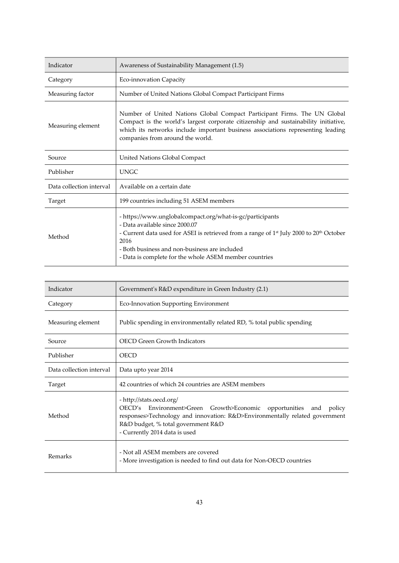| Indicator                | Awareness of Sustainability Management (1.5)                                                                                                                                                                                                                                                                                      |
|--------------------------|-----------------------------------------------------------------------------------------------------------------------------------------------------------------------------------------------------------------------------------------------------------------------------------------------------------------------------------|
| Category                 | Eco-innovation Capacity                                                                                                                                                                                                                                                                                                           |
| Measuring factor         | Number of United Nations Global Compact Participant Firms                                                                                                                                                                                                                                                                         |
| Measuring element        | Number of United Nations Global Compact Participant Firms. The UN Global<br>Compact is the world's largest corporate citizenship and sustainability initiative,<br>which its networks include important business associations representing leading<br>companies from around the world.                                            |
| Source                   | United Nations Global Compact                                                                                                                                                                                                                                                                                                     |
| Publisher                | <b>UNGC</b>                                                                                                                                                                                                                                                                                                                       |
| Data collection interval | Available on a certain date                                                                                                                                                                                                                                                                                                       |
| Target                   | 199 countries including 51 ASEM members                                                                                                                                                                                                                                                                                           |
| Method                   | - https://www.unglobalcompact.org/what-is-gc/participants<br>- Data available since 2000.07<br>- Current data used for ASEI is retrieved from a range of 1 <sup>st</sup> July 2000 to 20 <sup>th</sup> October<br>2016<br>- Both business and non-business are included<br>- Data is complete for the whole ASEM member countries |

| Indicator                | Government's R&D expenditure in Green Industry (2.1)                                                                                                                                                                                                   |
|--------------------------|--------------------------------------------------------------------------------------------------------------------------------------------------------------------------------------------------------------------------------------------------------|
| Category                 | Eco-Innovation Supporting Environment                                                                                                                                                                                                                  |
| Measuring element        | Public spending in environmentally related RD, % total public spending                                                                                                                                                                                 |
| Source                   | <b>OECD Green Growth Indicators</b>                                                                                                                                                                                                                    |
| Publisher                | <b>OECD</b>                                                                                                                                                                                                                                            |
| Data collection interval | Data upto year 2014                                                                                                                                                                                                                                    |
| Target                   | 42 countries of which 24 countries are ASEM members                                                                                                                                                                                                    |
| Method                   | - http://stats.oecd.org/<br>OECD's Environment>Green Growth>Economic opportunities and<br>policy<br>responses>Technology and innovation: R&D>Environmentally related government<br>R&D budget, % total government R&D<br>- Currently 2014 data is used |
| Remarks                  | - Not all ASEM members are covered<br>- More investigation is needed to find out data for Non-OECD countries                                                                                                                                           |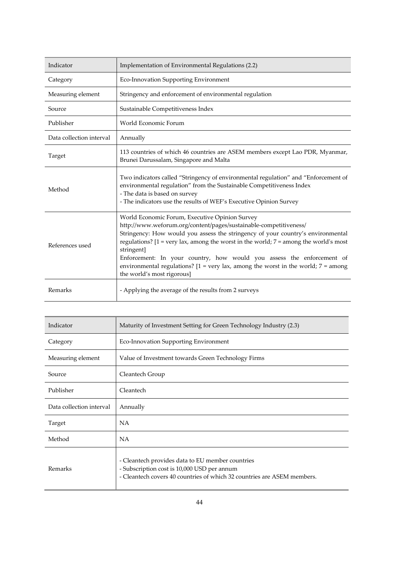| Indicator                | Implementation of Environmental Regulations (2.2)                                                                                                                                                                                                                                                                                                                                                                                                                                                                                                       |
|--------------------------|---------------------------------------------------------------------------------------------------------------------------------------------------------------------------------------------------------------------------------------------------------------------------------------------------------------------------------------------------------------------------------------------------------------------------------------------------------------------------------------------------------------------------------------------------------|
| Category                 | Eco-Innovation Supporting Environment                                                                                                                                                                                                                                                                                                                                                                                                                                                                                                                   |
| Measuring element        | Stringency and enforcement of environmental regulation                                                                                                                                                                                                                                                                                                                                                                                                                                                                                                  |
| Source                   | Sustainable Competitiveness Index                                                                                                                                                                                                                                                                                                                                                                                                                                                                                                                       |
| Publisher                | World Economic Forum                                                                                                                                                                                                                                                                                                                                                                                                                                                                                                                                    |
| Data collection interval | Annually                                                                                                                                                                                                                                                                                                                                                                                                                                                                                                                                                |
| Target                   | 113 countries of which 46 countries are ASEM members except Lao PDR, Myanmar,<br>Brunei Darussalam, Singapore and Malta                                                                                                                                                                                                                                                                                                                                                                                                                                 |
| Method                   | Two indicators called "Stringency of environmental regulation" and "Enforcement of<br>environmental regulation" from the Sustainable Competitiveness Index<br>- The data is based on survey<br>- The indicators use the results of WEF's Executive Opinion Survey                                                                                                                                                                                                                                                                                       |
| References used          | World Economic Forum, Executive Opinion Survey<br>http://www.weforum.org/content/pages/sustainable-competitiveness/<br>Stringency: How would you assess the stringency of your country's environmental<br>regulations? $[1 = \text{very lax}, \text{among the worst in the world}; 7 = \text{among the world's most}]$<br>stringent]<br>Enforcement: In your country, how would you assess the enforcement of<br>environmental regulations? $[1 = \text{very lax}, \text{among the worst in the world}; 7 = \text{among}$<br>the world's most rigorous] |
| Remarks                  | - Applying the average of the results from 2 surveys                                                                                                                                                                                                                                                                                                                                                                                                                                                                                                    |

| Indicator                | Maturity of Investment Setting for Green Technology Industry (2.3)                                                                                                         |
|--------------------------|----------------------------------------------------------------------------------------------------------------------------------------------------------------------------|
| Category                 | Eco-Innovation Supporting Environment                                                                                                                                      |
| Measuring element        | Value of Investment towards Green Technology Firms                                                                                                                         |
| Source                   | Cleantech Group                                                                                                                                                            |
| Publisher                | Cleantech                                                                                                                                                                  |
| Data collection interval | Annually                                                                                                                                                                   |
| Target                   | NA                                                                                                                                                                         |
| Method                   | NA                                                                                                                                                                         |
| Remarks                  | - Cleantech provides data to EU member countries<br>- Subscription cost is 10,000 USD per annum<br>- Cleantech covers 40 countries of which 32 countries are ASEM members. |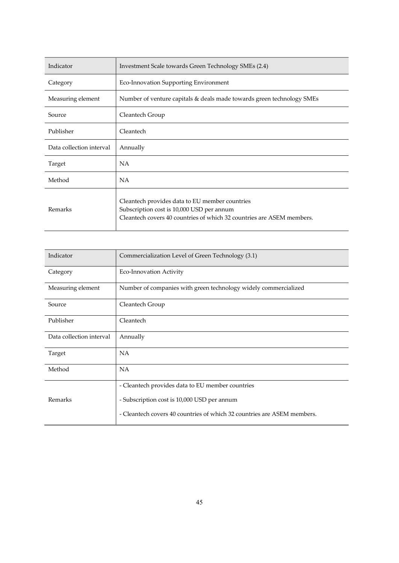| Indicator                | Investment Scale towards Green Technology SMEs (2.4)                                                                                                                 |
|--------------------------|----------------------------------------------------------------------------------------------------------------------------------------------------------------------|
| Category                 | Eco-Innovation Supporting Environment                                                                                                                                |
| Measuring element        | Number of venture capitals & deals made towards green technology SMEs                                                                                                |
| Source                   | Cleantech Group                                                                                                                                                      |
| Publisher                | Cleantech                                                                                                                                                            |
| Data collection interval | Annually                                                                                                                                                             |
| Target                   | NA.                                                                                                                                                                  |
| Method                   | <b>NA</b>                                                                                                                                                            |
| Remarks                  | Cleantech provides data to EU member countries<br>Subscription cost is 10,000 USD per annum<br>Cleantech covers 40 countries of which 32 countries are ASEM members. |

| Indicator                | Commercialization Level of Green Technology (3.1)                       |
|--------------------------|-------------------------------------------------------------------------|
| Category                 | Eco-Innovation Activity                                                 |
| Measuring element        | Number of companies with green technology widely commercialized         |
| Source                   | Cleantech Group                                                         |
| Publisher                | Cleantech                                                               |
| Data collection interval | Annually                                                                |
| Target                   | NA.                                                                     |
| Method                   | <b>NA</b>                                                               |
|                          | - Cleantech provides data to EU member countries                        |
| Remarks                  | - Subscription cost is 10,000 USD per annum                             |
|                          | - Cleantech covers 40 countries of which 32 countries are ASEM members. |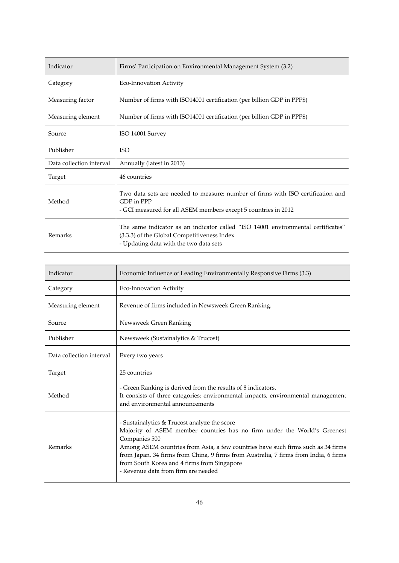| Indicator                | Firms' Participation on Environmental Management System (3.2)                                                                                                             |
|--------------------------|---------------------------------------------------------------------------------------------------------------------------------------------------------------------------|
| Category                 | Eco-Innovation Activity                                                                                                                                                   |
| Measuring factor         | Number of firms with ISO14001 certification (per billion GDP in PPP\$)                                                                                                    |
| Measuring element        | Number of firms with ISO14001 certification (per billion GDP in PPP\$)                                                                                                    |
| Source                   | ISO 14001 Survey                                                                                                                                                          |
| Publisher                | <b>ISO</b>                                                                                                                                                                |
| Data collection interval | Annually (latest in 2013)                                                                                                                                                 |
| Target                   | 46 countries                                                                                                                                                              |
| Method                   | Two data sets are needed to measure: number of firms with ISO certification and<br>GDP in PPP<br>- GCI measured for all ASEM members except 5 countries in 2012           |
| Remarks                  | The same indicator as an indicator called "ISO 14001 environmental certificates"<br>(3.3.3) of the Global Competitiveness Index<br>- Updating data with the two data sets |

| Indicator                | Economic Influence of Leading Environmentally Responsive Firms (3.3)                                                                                                                                                                                                                                                                                                                                        |
|--------------------------|-------------------------------------------------------------------------------------------------------------------------------------------------------------------------------------------------------------------------------------------------------------------------------------------------------------------------------------------------------------------------------------------------------------|
| Category                 | <b>Eco-Innovation Activity</b>                                                                                                                                                                                                                                                                                                                                                                              |
| Measuring element        | Revenue of firms included in Newsweek Green Ranking.                                                                                                                                                                                                                                                                                                                                                        |
| Source                   | Newsweek Green Ranking                                                                                                                                                                                                                                                                                                                                                                                      |
| Publisher                | Newsweek (Sustainalytics & Trucost)                                                                                                                                                                                                                                                                                                                                                                         |
| Data collection interval | Every two years                                                                                                                                                                                                                                                                                                                                                                                             |
| Target                   | 25 countries                                                                                                                                                                                                                                                                                                                                                                                                |
| Method                   | - Green Ranking is derived from the results of 8 indicators.<br>It consists of three categories: environmental impacts, environmental management<br>and environmental announcements                                                                                                                                                                                                                         |
| Remarks                  | - Sustainalytics & Trucost analyze the score<br>Majority of ASEM member countries has no firm under the World's Greenest<br>Companies 500<br>Among ASEM countries from Asia, a few countries have such firms such as 34 firms<br>from Japan, 34 firms from China, 9 firms from Australia, 7 firms from India, 6 firms<br>from South Korea and 4 firms from Singapore<br>- Revenue data from firm are needed |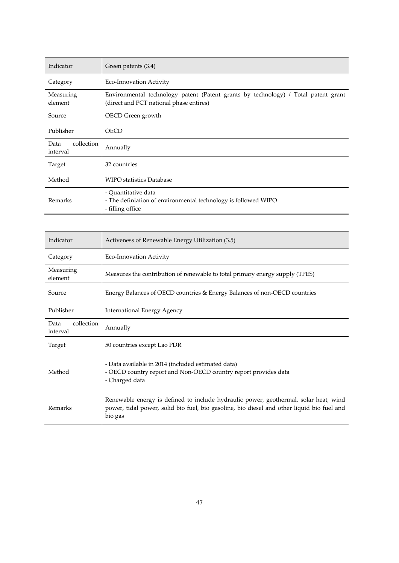| Indicator                      | Green patents (3.4)                                                                                                           |
|--------------------------------|-------------------------------------------------------------------------------------------------------------------------------|
| Category                       | Eco-Innovation Activity                                                                                                       |
| Measuring<br>element           | Environmental technology patent (Patent grants by technology) / Total patent grant<br>(direct and PCT national phase entires) |
| Source                         | OECD Green growth                                                                                                             |
| Publisher                      | <b>OECD</b>                                                                                                                   |
| collection<br>Data<br>interval | Annually                                                                                                                      |
| Target                         | 32 countries                                                                                                                  |
| Method                         | <b>WIPO statistics Database</b>                                                                                               |
| Remarks                        | - Quantitative data<br>- The definiation of environmental technology is followed WIPO<br>- filling office                     |

| Indicator                      | Activeness of Renewable Energy Utilization (3.5)                                                                                                                                              |
|--------------------------------|-----------------------------------------------------------------------------------------------------------------------------------------------------------------------------------------------|
| Category                       | Eco-Innovation Activity                                                                                                                                                                       |
| Measuring<br>element           | Measures the contribution of renewable to total primary energy supply (TPES)                                                                                                                  |
| Source                         | Energy Balances of OECD countries & Energy Balances of non-OECD countries                                                                                                                     |
| Publisher                      | International Energy Agency                                                                                                                                                                   |
| collection<br>Data<br>interval | Annually                                                                                                                                                                                      |
| Target                         | 50 countries except Lao PDR                                                                                                                                                                   |
| Method                         | - Data available in 2014 (included estimated data)<br>- OECD country report and Non-OECD country report provides data<br>- Charged data                                                       |
| Remarks                        | Renewable energy is defined to include hydraulic power, geothermal, solar heat, wind<br>power, tidal power, solid bio fuel, bio gasoline, bio diesel and other liquid bio fuel and<br>bio gas |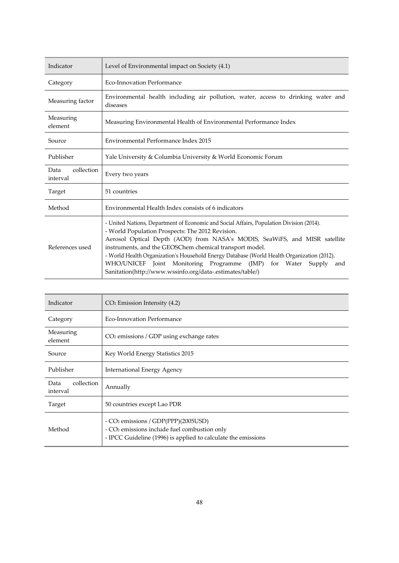| Indicator                      | Level of Environmental impact on Society (4.1)                                                                                                                                                                                                                                                                                                                                                                                                                                                                             |
|--------------------------------|----------------------------------------------------------------------------------------------------------------------------------------------------------------------------------------------------------------------------------------------------------------------------------------------------------------------------------------------------------------------------------------------------------------------------------------------------------------------------------------------------------------------------|
| Category                       | <b>Eco-Innovation Performance</b>                                                                                                                                                                                                                                                                                                                                                                                                                                                                                          |
| Measuring factor               | Environmental health including air pollution, water, access to drinking water and<br>diseases                                                                                                                                                                                                                                                                                                                                                                                                                              |
| Measuring<br>element           | Measuring Environmental Health of Environmental Performance Index                                                                                                                                                                                                                                                                                                                                                                                                                                                          |
| Source                         | Environmental Performance Index 2015                                                                                                                                                                                                                                                                                                                                                                                                                                                                                       |
| Publisher                      | Yale University & Columbia University & World Economic Forum                                                                                                                                                                                                                                                                                                                                                                                                                                                               |
| collection<br>Data<br>interval | Every two years                                                                                                                                                                                                                                                                                                                                                                                                                                                                                                            |
| Target                         | 51 countries                                                                                                                                                                                                                                                                                                                                                                                                                                                                                                               |
| Method                         | Environmental Health Index consists of 6 indicators                                                                                                                                                                                                                                                                                                                                                                                                                                                                        |
| References used                | - United Nations, Department of Economic and Social Affairs, Population Division (2014).<br>- World Population Prospects: The 2012 Revision.<br>Aerosol Optical Depth (AOD) from NASA's MODIS, SeaWiFS, and MISR satellite<br>instruments, and the GEOSChem chemical transport model.<br>- World Health Organization's Household Energy Database (World Health Organization (2012).<br>WHO/UNICEF Joint Monitoring Programme (JMP) for Water<br>Supply<br>and<br>Sanitation(http://www.wssinfo.org/data-.estimates/table/) |

| Indicator                      | $CO2$ Emission Intensity (4.2)                                                                                                                                               |
|--------------------------------|------------------------------------------------------------------------------------------------------------------------------------------------------------------------------|
| Category                       | Eco-Innovation Performance                                                                                                                                                   |
| Measuring<br>element           | CO <sub>2</sub> emissions / GDP using exchange rates                                                                                                                         |
| Source                         | Key World Energy Statistics 2015                                                                                                                                             |
| Publisher                      | <b>International Energy Agency</b>                                                                                                                                           |
| collection<br>Data<br>interval | Annually                                                                                                                                                                     |
| Target                         | 50 countries except Lao PDR                                                                                                                                                  |
| Method                         | - CO <sub>2</sub> emissions / GDP(PPP)(2005USD)<br>- CO <sub>2</sub> emissions include fuel combustion only<br>- IPCC Guideline (1996) is applied to calculate the emissions |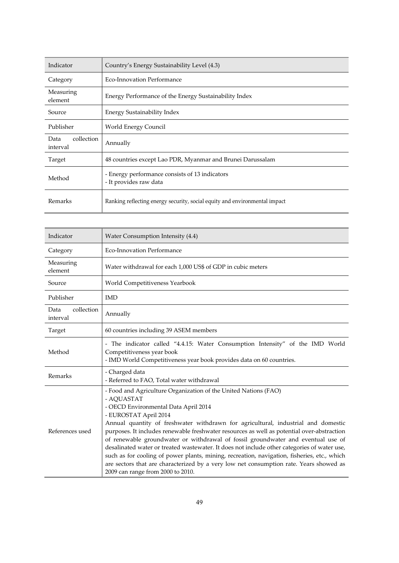| Indicator                      | Country's Energy Sustainability Level (4.3)                                |
|--------------------------------|----------------------------------------------------------------------------|
| Category                       | <b>Eco-Innovation Performance</b>                                          |
| Measuring<br>element           | Energy Performance of the Energy Sustainability Index                      |
| Source                         | Energy Sustainability Index                                                |
| Publisher                      | World Energy Council                                                       |
| collection<br>Data<br>interval | Annually                                                                   |
| Target                         | 48 countries except Lao PDR, Myanmar and Brunei Darussalam                 |
| Method                         | - Energy performance consists of 13 indicators<br>- It provides raw data   |
| Remarks                        | Ranking reflecting energy security, social equity and environmental impact |

| Indicator                      | Water Consumption Intensity (4.4)                                                                                                                                                                                                                                                                                                                                                                                                                                                                                                                                                                                                                                                                                                                  |
|--------------------------------|----------------------------------------------------------------------------------------------------------------------------------------------------------------------------------------------------------------------------------------------------------------------------------------------------------------------------------------------------------------------------------------------------------------------------------------------------------------------------------------------------------------------------------------------------------------------------------------------------------------------------------------------------------------------------------------------------------------------------------------------------|
| Category                       | <b>Eco-Innovation Performance</b>                                                                                                                                                                                                                                                                                                                                                                                                                                                                                                                                                                                                                                                                                                                  |
| Measuring<br>element           | Water withdrawal for each 1,000 US\$ of GDP in cubic meters                                                                                                                                                                                                                                                                                                                                                                                                                                                                                                                                                                                                                                                                                        |
| Source                         | World Competitiveness Yearbook                                                                                                                                                                                                                                                                                                                                                                                                                                                                                                                                                                                                                                                                                                                     |
| Publisher                      | <b>IMD</b>                                                                                                                                                                                                                                                                                                                                                                                                                                                                                                                                                                                                                                                                                                                                         |
| collection<br>Data<br>interval | Annually                                                                                                                                                                                                                                                                                                                                                                                                                                                                                                                                                                                                                                                                                                                                           |
| Target                         | 60 countries including 39 ASEM members                                                                                                                                                                                                                                                                                                                                                                                                                                                                                                                                                                                                                                                                                                             |
| Method                         | - The indicator called "4.4.15: Water Consumption Intensity" of the IMD World<br>Competitiveness year book<br>- IMD World Competitiveness year book provides data on 60 countries.                                                                                                                                                                                                                                                                                                                                                                                                                                                                                                                                                                 |
| Remarks                        | - Charged data<br>- Referred to FAO, Total water withdrawal                                                                                                                                                                                                                                                                                                                                                                                                                                                                                                                                                                                                                                                                                        |
| References used                | - Food and Agriculture Organization of the United Nations (FAO)<br>- AQUASTAT<br>- OECD Environmental Data April 2014<br>- EUROSTAT April 2014<br>Annual quantity of freshwater withdrawn for agricultural, industrial and domestic<br>purposes. It includes renewable freshwater resources as well as potential over-abstraction<br>of renewable groundwater or withdrawal of fossil groundwater and eventual use of<br>desalinated water or treated wastewater. It does not include other categories of water use,<br>such as for cooling of power plants, mining, recreation, navigation, fisheries, etc., which<br>are sectors that are characterized by a very low net consumption rate. Years showed as<br>2009 can range from 2000 to 2010. |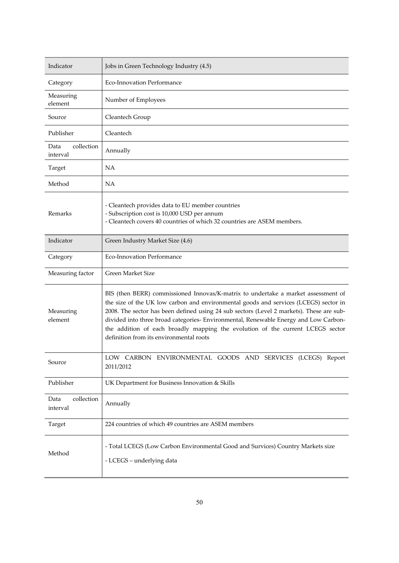| Indicator                      | Jobs in Green Technology Industry (4.5)                                                                                                                                                                                                                                                                                                                                                                                                                                                    |
|--------------------------------|--------------------------------------------------------------------------------------------------------------------------------------------------------------------------------------------------------------------------------------------------------------------------------------------------------------------------------------------------------------------------------------------------------------------------------------------------------------------------------------------|
| Category                       | Eco-Innovation Performance                                                                                                                                                                                                                                                                                                                                                                                                                                                                 |
| Measuring<br>element           | Number of Employees                                                                                                                                                                                                                                                                                                                                                                                                                                                                        |
| Source                         | Cleantech Group                                                                                                                                                                                                                                                                                                                                                                                                                                                                            |
| Publisher                      | Cleantech                                                                                                                                                                                                                                                                                                                                                                                                                                                                                  |
| collection<br>Data<br>interval | Annually                                                                                                                                                                                                                                                                                                                                                                                                                                                                                   |
| Target                         | NA                                                                                                                                                                                                                                                                                                                                                                                                                                                                                         |
| Method                         | NA                                                                                                                                                                                                                                                                                                                                                                                                                                                                                         |
| Remarks                        | - Cleantech provides data to EU member countries<br>- Subscription cost is 10,000 USD per annum<br>- Cleantech covers 40 countries of which 32 countries are ASEM members.                                                                                                                                                                                                                                                                                                                 |
| Indicator                      | Green Industry Market Size (4.6)                                                                                                                                                                                                                                                                                                                                                                                                                                                           |
| Category                       | Eco-Innovation Performance                                                                                                                                                                                                                                                                                                                                                                                                                                                                 |
| Measuring factor               | Green Market Size                                                                                                                                                                                                                                                                                                                                                                                                                                                                          |
| Measuring<br>element           | BIS (then BERR) commissioned Innovas/K-matrix to undertake a market assessment of<br>the size of the UK low carbon and environmental goods and services (LCEGS) sector in<br>2008. The sector has been defined using 24 sub sectors (Level 2 markets). These are sub-<br>divided into three broad categories- Environmental, Renewable Energy and Low Carbon-<br>the addition of each broadly mapping the evolution of the current LCEGS sector<br>definition from its environmental roots |
| Source                         | LOW CARBON ENVIRONMENTAL GOODS AND SERVICES (LCEGS) Report<br>2011/2012                                                                                                                                                                                                                                                                                                                                                                                                                    |
| Publisher                      | UK Department for Business Innovation & Skills                                                                                                                                                                                                                                                                                                                                                                                                                                             |
| collection<br>Data<br>interval | Annually                                                                                                                                                                                                                                                                                                                                                                                                                                                                                   |
| Target                         | 224 countries of which 49 countries are ASEM members                                                                                                                                                                                                                                                                                                                                                                                                                                       |
| Method                         | - Total LCEGS (Low Carbon Environmental Good and Survices) Country Markets size<br>- LCEGS - underlying data                                                                                                                                                                                                                                                                                                                                                                               |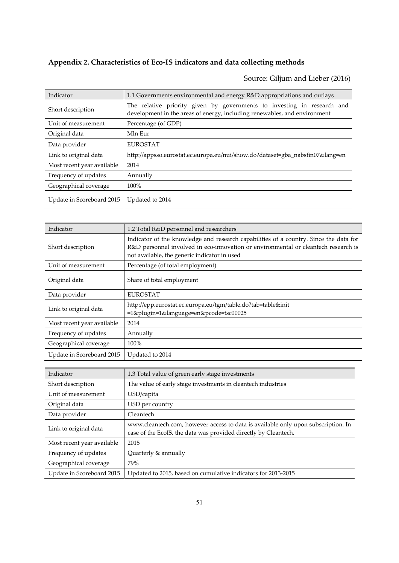## **Appendix 2. Characteristics of Eco‐IS indicators and data collecting methods**

Source: Giljum and Lieber (2016)

| Indicator                  | 1.1 Governments environmental and energy R&D appropriations and outlays                                                                              |
|----------------------------|------------------------------------------------------------------------------------------------------------------------------------------------------|
| Short description          | The relative priority given by governments to investing in research and<br>development in the areas of energy, including renewables, and environment |
| Unit of measurement        | Percentage (of GDP)                                                                                                                                  |
| Original data              | Mln Eur                                                                                                                                              |
| Data provider              | <b>EUROSTAT</b>                                                                                                                                      |
| Link to original data      | http://appsso.eurostat.ec.europa.eu/nui/show.do?dataset=gba_nabsfin07⟨=en                                                                            |
| Most recent year available | 2014                                                                                                                                                 |
| Frequency of updates       | Annually                                                                                                                                             |
| Geographical coverage      | $100\%$                                                                                                                                              |
| Update in Scoreboard 2015  | Updated to 2014                                                                                                                                      |

| 1.2 Total R&D personnel and researchers                                                                                                                                                                                     |
|-----------------------------------------------------------------------------------------------------------------------------------------------------------------------------------------------------------------------------|
| Indicator of the knowledge and research capabilities of a country. Since the data for<br>R&D personnel involved in eco-innovation or environmental or cleantech research is<br>not available, the generic indicator in used |
| Percentage (of total employment)                                                                                                                                                                                            |
| Share of total employment                                                                                                                                                                                                   |
| <b>EUROSTAT</b>                                                                                                                                                                                                             |
| http://epp.eurostat.ec.europa.eu/tgm/table.do?tab=table&init<br>=1&plugin=1&language=en&pcode=tsc00025                                                                                                                      |
| 2014                                                                                                                                                                                                                        |
| Annually                                                                                                                                                                                                                    |
| 100%                                                                                                                                                                                                                        |
| Updated to 2014                                                                                                                                                                                                             |
|                                                                                                                                                                                                                             |

| Indicator                  | 1.3 Total value of green early stage investments                                                                                                     |
|----------------------------|------------------------------------------------------------------------------------------------------------------------------------------------------|
| Short description          | The value of early stage investments in cleantech industries                                                                                         |
| Unit of measurement        | USD/capita                                                                                                                                           |
| Original data              | USD per country                                                                                                                                      |
| Data provider              | Cleantech                                                                                                                                            |
| Link to original data      | www.cleantech.com, however access to data is available only upon subscription. In<br>case of the EcoIS, the data was provided directly by Cleantech. |
| Most recent year available | 2015                                                                                                                                                 |
| Frequency of updates       | Quarterly & annually                                                                                                                                 |
| Geographical coverage      | 79%                                                                                                                                                  |
| Update in Scoreboard 2015  | Updated to 2015, based on cumulative indicators for 2013-2015                                                                                        |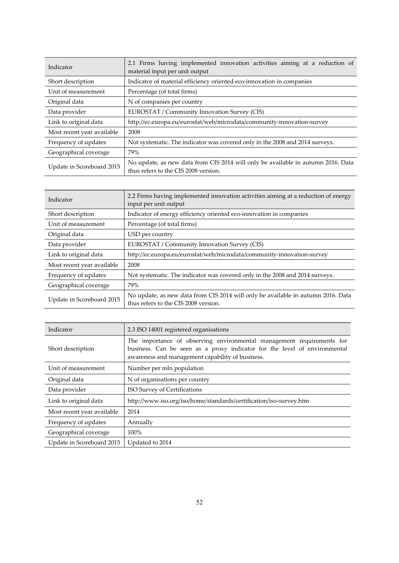| Indicator                  | 2.1 Firms having implemented innovation activities aiming at a reduction of<br>material input per unit output            |
|----------------------------|--------------------------------------------------------------------------------------------------------------------------|
| Short description          | Indicator of material efficiency oriented eco-innovation in companies                                                    |
| Unit of measurement        | Percentage (of total firms)                                                                                              |
| Original data              | N of companies per country                                                                                               |
| Data provider              | EUROSTAT / Community Innovation Survey (CIS)                                                                             |
| Link to original data      | http://ec.europa.eu/eurostat/web/microdata/community-innovation-survey                                                   |
| Most recent year available | 2008                                                                                                                     |
| Frequency of updates       | Not systematic. The indicator was covered only in the 2008 and 2014 surveys.                                             |
| Geographical coverage      | 79%                                                                                                                      |
| Update in Scoreboard 2015  | No update, as new data from CIS 2014 will only be available in autumn 2016. Data<br>thus refers to the CIS 2008 version. |

| Indicator                  | 2.2 Firms having implemented innovation activities aiming at a reduction of energy<br>input per unit output              |
|----------------------------|--------------------------------------------------------------------------------------------------------------------------|
| Short description          | Indicator of energy efficiency oriented eco-innovation in companies                                                      |
| Unit of measurement        | Percentage (of total firms)                                                                                              |
| Original data              | USD per country                                                                                                          |
| Data provider              | EUROSTAT / Community Innovation Survey (CIS)                                                                             |
| Link to original data      | http://ec.europa.eu/eurostat/web/microdata/community-innovation-survey                                                   |
| Most recent year available | 2008                                                                                                                     |
| Frequency of updates       | Not systematic. The indicator was covered only in the 2008 and 2014 surveys.                                             |
| Geographical coverage      | 79%                                                                                                                      |
| Update in Scoreboard 2015  | No update, as new data from CIS 2014 will only be available in autumn 2016. Data<br>thus refers to the CIS 2008 version. |

| Indicator                  | 2.3 ISO 14001 registered organisations                                                                                                                                                                 |
|----------------------------|--------------------------------------------------------------------------------------------------------------------------------------------------------------------------------------------------------|
| Short description          | The importance of observing environmental management requirements for<br>business. Can be seen as a proxy indicator for the level of environmental<br>awareness and management capability of business. |
| Unit of measurement        | Number per mln population                                                                                                                                                                              |
| Original data              | N of organisations per country                                                                                                                                                                         |
| Data provider              | ISO Survey of Certifications                                                                                                                                                                           |
| Link to original data      | http://www.iso.org/iso/home/standards/certification/iso-survey.htm                                                                                                                                     |
| Most recent year available | 2014                                                                                                                                                                                                   |
| Frequency of updates       | Annually                                                                                                                                                                                               |
| Geographical coverage      | $100\%$                                                                                                                                                                                                |
| Update in Scoreboard 2015  | Updated to 2014                                                                                                                                                                                        |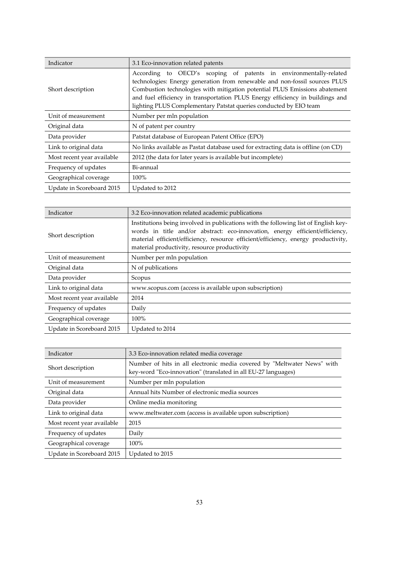| Indicator                  | 3.1 Eco-innovation related patents                                                                                                                                                                                                                                                                                                                                                  |
|----------------------------|-------------------------------------------------------------------------------------------------------------------------------------------------------------------------------------------------------------------------------------------------------------------------------------------------------------------------------------------------------------------------------------|
| Short description          | According to OECD's scoping of patents in environmentally-related<br>technologies: Energy generation from renewable and non-fossil sources PLUS<br>Combustion technologies with mitigation potential PLUS Emissions abatement<br>and fuel efficiency in transportation PLUS Energy efficiency in buildings and<br>lighting PLUS Complementary Patstat queries conducted by EIO team |
| Unit of measurement        | Number per mln population                                                                                                                                                                                                                                                                                                                                                           |
| Original data              | N of patent per country                                                                                                                                                                                                                                                                                                                                                             |
| Data provider              | Patstat database of European Patent Office (EPO)                                                                                                                                                                                                                                                                                                                                    |
| Link to original data      | No links available as Pastat database used for extracting data is offline (on CD)                                                                                                                                                                                                                                                                                                   |
| Most recent year available | 2012 (the data for later years is available but incomplete)                                                                                                                                                                                                                                                                                                                         |
| Frequency of updates       | Bi-annual                                                                                                                                                                                                                                                                                                                                                                           |
| Geographical coverage      | 100%                                                                                                                                                                                                                                                                                                                                                                                |
| Update in Scoreboard 2015  | Updated to 2012                                                                                                                                                                                                                                                                                                                                                                     |

| Indicator                  | 3.2 Eco-innovation related academic publications                                                                                                                                                                                                                                                          |
|----------------------------|-----------------------------------------------------------------------------------------------------------------------------------------------------------------------------------------------------------------------------------------------------------------------------------------------------------|
| Short description          | Institutions being involved in publications with the following list of English key-<br>words in title and/or abstract: eco-innovation, energy efficient/efficiency,<br>material efficient/efficiency, resource efficient/efficiency, energy productivity,<br>material productivity, resource productivity |
| Unit of measurement        | Number per mln population                                                                                                                                                                                                                                                                                 |
| Original data              | N of publications                                                                                                                                                                                                                                                                                         |
| Data provider              | Scopus                                                                                                                                                                                                                                                                                                    |
| Link to original data      | www.scopus.com (access is available upon subscription)                                                                                                                                                                                                                                                    |
| Most recent year available | 2014                                                                                                                                                                                                                                                                                                      |
| Frequency of updates       | Daily                                                                                                                                                                                                                                                                                                     |
| Geographical coverage      | 100%                                                                                                                                                                                                                                                                                                      |
| Update in Scoreboard 2015  | Updated to 2014                                                                                                                                                                                                                                                                                           |

| Indicator                  | 3.3 Eco-innovation related media coverage                                                                                                |
|----------------------------|------------------------------------------------------------------------------------------------------------------------------------------|
| Short description          | Number of hits in all electronic media covered by "Meltwater News" with<br>key-word "Eco-innovation" (translated in all EU-27 languages) |
| Unit of measurement        | Number per mln population                                                                                                                |
| Original data              | Annual hits Number of electronic media sources                                                                                           |
| Data provider              | Online media monitoring                                                                                                                  |
| Link to original data      | www.meltwater.com (access is available upon subscription)                                                                                |
| Most recent year available | 2015                                                                                                                                     |
| Frequency of updates       | Daily                                                                                                                                    |
| Geographical coverage      | $100\%$                                                                                                                                  |
| Update in Scoreboard 2015  | Updated to 2015                                                                                                                          |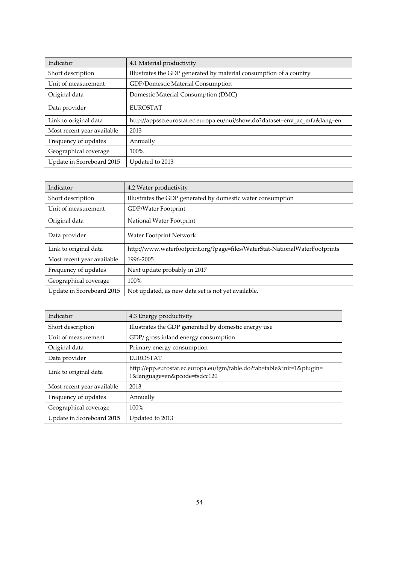| Indicator                  | 4.1 Material productivity                                              |
|----------------------------|------------------------------------------------------------------------|
| Short description          | Illustrates the GDP generated by material consumption of a country     |
| Unit of measurement        | <b>GDP/Domestic Material Consumption</b>                               |
| Original data              | Domestic Material Consumption (DMC)                                    |
| Data provider              | <b>EUROSTAT</b>                                                        |
| Link to original data      | http://appsso.eurostat.ec.europa.eu/nui/show.do?dataset=env_ac_mfa⟨=en |
| Most recent year available | 2013                                                                   |
| Frequency of updates       | Annually                                                               |
| Geographical coverage      | $100\%$                                                                |
| Update in Scoreboard 2015  | Updated to 2013                                                        |

| Indicator                  | 4.2 Water productivity                                                      |
|----------------------------|-----------------------------------------------------------------------------|
| Short description          | Illustrates the GDP generated by domestic water consumption                 |
| Unit of measurement        | GDP/Water Footprint                                                         |
| Original data              | National Water Footprint                                                    |
| Data provider              | Water Footprint Network                                                     |
| Link to original data      | http://www.waterfootprint.org/?page=files/WaterStat-NationalWaterFootprints |
| Most recent year available | 1996-2005                                                                   |
| Frequency of updates       | Next update probably in 2017                                                |
| Geographical coverage      | $100\%$                                                                     |
| Update in Scoreboard 2015  | Not updated, as new data set is not yet available.                          |

| Indicator                  | 4.3 Energy productivity                                                                                |
|----------------------------|--------------------------------------------------------------------------------------------------------|
| Short description          | Illustrates the GDP generated by domestic energy use                                                   |
| Unit of measurement        | GDP/ gross inland energy consumption                                                                   |
| Original data              | Primary energy consumption                                                                             |
| Data provider              | <b>EUROSTAT</b>                                                                                        |
| Link to original data      | http://epp.eurostat.ec.europa.eu/tgm/table.do?tab=table&init=1&plugin=<br>1&language=en&pcode=tsdcc120 |
| Most recent year available | 2013                                                                                                   |
| Frequency of updates       | Annually                                                                                               |
| Geographical coverage      | 100%                                                                                                   |
| Update in Scoreboard 2015  | Updated to 2013                                                                                        |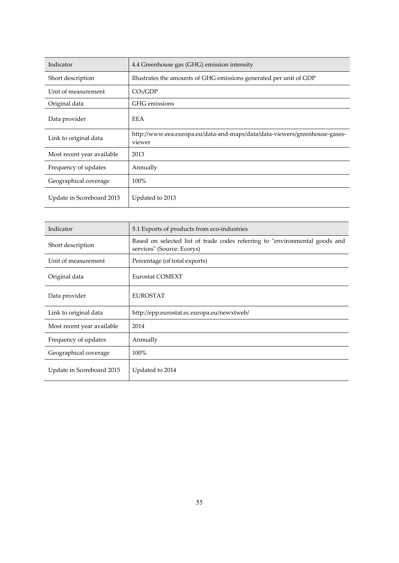| Indicator                  | 4.4 Greenhouse gas (GHG) emission intensity                                          |
|----------------------------|--------------------------------------------------------------------------------------|
| Short description          | Illustrates the amounts of GHG emissions generated per unit of GDP                   |
| Unit of measurement        | CO <sub>2</sub> /GDP                                                                 |
| Original data              | GHG emissions                                                                        |
| Data provider              | <b>EEA</b>                                                                           |
| Link to original data      | http://www.eea.europa.eu/data-and-maps/data/data-viewers/greenhouse-gases-<br>viewer |
| Most recent year available | 2013                                                                                 |
| Frequency of updates       | Annually                                                                             |
| Geographical coverage      | 100%                                                                                 |
| Update in Scoreboard 2015  | Updated to 2013                                                                      |

| Indicator                  | 5.1 Exports of products from eco-industries                                                               |
|----------------------------|-----------------------------------------------------------------------------------------------------------|
| Short description          | Based on selected list of trade codes referring to "environmental goods and<br>services" (Source: Ecorys) |
| Unit of measurement        | Percentage (of total exports)                                                                             |
| Original data              | Eurostat COMEXT                                                                                           |
| Data provider              | <b>EUROSTAT</b>                                                                                           |
| Link to original data      | http://epp.eurostat.ec.europa.eu/newxtweb/                                                                |
| Most recent year available | 2014                                                                                                      |
| Frequency of updates       | Annually                                                                                                  |
| Geographical coverage      | 100%                                                                                                      |
| Update in Scoreboard 2015  | Updated to 2014                                                                                           |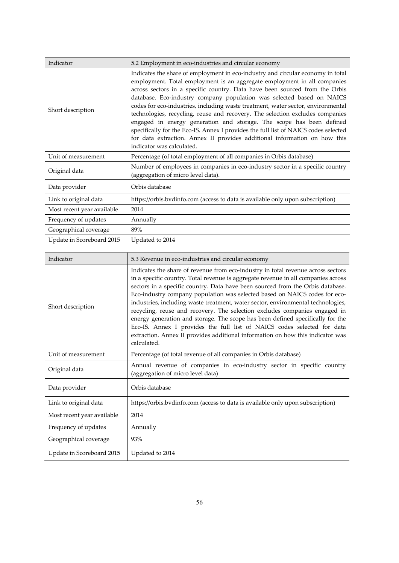| Indicator                  | 5.2 Employment in eco-industries and circular economy                                                                                                                                                                                                                                                                                                                                                                                                                                                                                                                                                                                                                                                                                                             |
|----------------------------|-------------------------------------------------------------------------------------------------------------------------------------------------------------------------------------------------------------------------------------------------------------------------------------------------------------------------------------------------------------------------------------------------------------------------------------------------------------------------------------------------------------------------------------------------------------------------------------------------------------------------------------------------------------------------------------------------------------------------------------------------------------------|
| Short description          | Indicates the share of employment in eco-industry and circular economy in total<br>employment. Total employment is an aggregate employment in all companies<br>across sectors in a specific country. Data have been sourced from the Orbis<br>database. Eco-industry company population was selected based on NAICS<br>codes for eco-industries, including waste treatment, water sector, environmental<br>technologies, recycling, reuse and recovery. The selection excludes companies<br>engaged in energy generation and storage. The scope has been defined<br>specifically for the Eco-IS. Annex I provides the full list of NAICS codes selected<br>for data extraction. Annex II provides additional information on how this<br>indicator was calculated. |
| Unit of measurement        | Percentage (of total employment of all companies in Orbis database)                                                                                                                                                                                                                                                                                                                                                                                                                                                                                                                                                                                                                                                                                               |
| Original data              | Number of employees in companies in eco-industry sector in a specific country<br>(aggregation of micro level data).                                                                                                                                                                                                                                                                                                                                                                                                                                                                                                                                                                                                                                               |
| Data provider              | Orbis database                                                                                                                                                                                                                                                                                                                                                                                                                                                                                                                                                                                                                                                                                                                                                    |
| Link to original data      | https://orbis.bvdinfo.com (access to data is available only upon subscription)                                                                                                                                                                                                                                                                                                                                                                                                                                                                                                                                                                                                                                                                                    |
| Most recent year available | 2014                                                                                                                                                                                                                                                                                                                                                                                                                                                                                                                                                                                                                                                                                                                                                              |
| Frequency of updates       | Annually                                                                                                                                                                                                                                                                                                                                                                                                                                                                                                                                                                                                                                                                                                                                                          |
| Geographical coverage      | 89%                                                                                                                                                                                                                                                                                                                                                                                                                                                                                                                                                                                                                                                                                                                                                               |
| Update in Scoreboard 2015  | Updated to 2014                                                                                                                                                                                                                                                                                                                                                                                                                                                                                                                                                                                                                                                                                                                                                   |

| Indicator                  | 5.3 Revenue in eco-industries and circular economy                                                                                                                                                                                                                                                                                                                                                                                                                                                                                                                                                                                                                                                                                                                    |
|----------------------------|-----------------------------------------------------------------------------------------------------------------------------------------------------------------------------------------------------------------------------------------------------------------------------------------------------------------------------------------------------------------------------------------------------------------------------------------------------------------------------------------------------------------------------------------------------------------------------------------------------------------------------------------------------------------------------------------------------------------------------------------------------------------------|
| Short description          | Indicates the share of revenue from eco-industry in total revenue across sectors<br>in a specific country. Total revenue is aggregate revenue in all companies across<br>sectors in a specific country. Data have been sourced from the Orbis database.<br>Eco-industry company population was selected based on NAICS codes for eco-<br>industries, including waste treatment, water sector, environmental technologies,<br>recycling, reuse and recovery. The selection excludes companies engaged in<br>energy generation and storage. The scope has been defined specifically for the<br>Eco-IS. Annex I provides the full list of NAICS codes selected for data<br>extraction. Annex II provides additional information on how this indicator was<br>calculated. |
| Unit of measurement        | Percentage (of total revenue of all companies in Orbis database)                                                                                                                                                                                                                                                                                                                                                                                                                                                                                                                                                                                                                                                                                                      |
| Original data              | Annual revenue of companies in eco-industry sector in specific country<br>(aggregation of micro level data)                                                                                                                                                                                                                                                                                                                                                                                                                                                                                                                                                                                                                                                           |
| Data provider              | Orbis database                                                                                                                                                                                                                                                                                                                                                                                                                                                                                                                                                                                                                                                                                                                                                        |
| Link to original data      | https://orbis.bvdinfo.com (access to data is available only upon subscription)                                                                                                                                                                                                                                                                                                                                                                                                                                                                                                                                                                                                                                                                                        |
| Most recent year available | 2014                                                                                                                                                                                                                                                                                                                                                                                                                                                                                                                                                                                                                                                                                                                                                                  |
| Frequency of updates       | Annually                                                                                                                                                                                                                                                                                                                                                                                                                                                                                                                                                                                                                                                                                                                                                              |
| Geographical coverage      | 93%                                                                                                                                                                                                                                                                                                                                                                                                                                                                                                                                                                                                                                                                                                                                                                   |
| Update in Scoreboard 2015  | Updated to 2014                                                                                                                                                                                                                                                                                                                                                                                                                                                                                                                                                                                                                                                                                                                                                       |